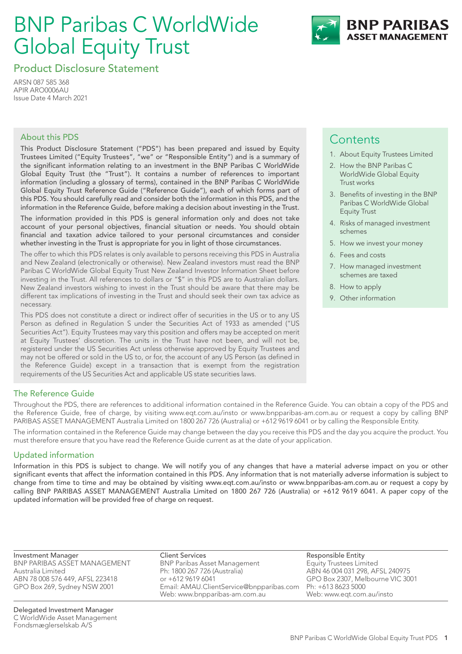# BNP Paribas C WorldWide Global Equity Trust



Product Disclosure Statement

ARSN 087 585 368 APIR ARO0006AU Issue Date 4 March 2021

## About this PDS

This Product Disclosure Statement ("PDS") has been prepared and issued by Equity Trustees Limited ("Equity Trustees", "we" or "Responsible Entity") and is a summary of the significant information relating to an investment in the BNP Paribas C WorldWide Global Equity Trust (the "Trust"). It contains a number of references to important information (including a glossary of terms), contained in the BNP Paribas C WorldWide Global Equity Trust Reference Guide ("Reference Guide"), each of which forms part of this PDS. You should carefully read and consider both the information in this PDS, and the information in the Reference Guide, before making a decision about investing in the Trust.

The information provided in this PDS is general information only and does not take account of your personal objectives, financial situation or needs. You should obtain financial and taxation advice tailored to your personal circumstances and consider whether investing in the Trust is appropriate for you in light of those circumstances.

The offer to which this PDS relates is only available to persons receiving this PDS in Australia and New Zealand (electronically or otherwise). New Zealand investors must read the BNP Paribas C WorldWide Global Equity Trust New Zealand Investor Information Sheet before investing in the Trust. All references to dollars or "\$" in this PDS are to Australian dollars. New Zealand investors wishing to invest in the Trust should be aware that there may be different tax implications of investing in the Trust and should seek their own tax advice as necessary.

This PDS does not constitute a direct or indirect offer of securities in the US or to any US Person as defined in Regulation S under the Securities Act of 1933 as amended ("US Securities Act"). Equity Trustees may vary this position and offers may be accepted on merit at Equity Trustees' discretion. The units in the Trust have not been, and will not be, registered under the US Securities Act unless otherwise approved by Equity Trustees and may not be offered or sold in the US to, or for, the account of any US Person (as defined in the Reference Guide) except in a transaction that is exempt from the registration requirements of the US Securities Act and applicable US state securities laws.

## **Contents**

- 1. About Equity Trustees Limited
- 2. How the BNP Paribas C WorldWide Global Equity Trust works
- 3. Benefits of investing in the BNP Paribas C WorldWide Global Equity Trust
- 4. Risks of managed investment schemes
- 5. How we invest your money
- 6. Fees and costs
- 7. How managed investment schemes are taxed
- 8. How to apply
- 9. Other information

## The Reference Guide

Throughout the PDS, there are references to additional information contained in the Reference Guide. You can obtain a copy of the PDS and the Reference Guide, free of charge, by visiting www.eqt.com.au/insto or www.bnpparibas-am.com.au or request a copy by calling BNP PARIBAS ASSET MANAGEMENT Australia Limited on 1800 267 726 (Australia) or +612 9619 6041 or by calling the Responsible Entity.

The information contained in the Reference Guide may change between the day you receive this PDS and the day you acquire the product. You must therefore ensure that you have read the Reference Guide current as at the date of your application.

## Updated information

Information in this PDS is subject to change. We will notify you of any changes that have a material adverse impact on you or other significant events that affect the information contained in this PDS. Any information that is not materially adverse information is subject to change from time to time and may be obtained by visiting www.eqt.com.au/insto or www.bnpparibas-am.com.au or request a copy by calling BNP PARIBAS ASSET MANAGEMENT Australia Limited on 1800 267 726 (Australia) or +612 9619 6041. A paper copy of the updated information will be provided free of charge on request.

Investment Manager BNP PARIBAS ASSET MANAGEMENT Australia Limited ABN 78 008 576 449, AFSL 223418 GPO Box 269, Sydney NSW 2001

Client Services BNP Paribas Asset Management Ph: 1800 267 726 (Australia) or +612 9619 6041 Email: AMAU.ClientService@bnpparibas.com Web: www.bnpparibas-am.com.au

Responsible Entity Equity Trustees Limited ABN 46 004 031 298, AFSL 240975 GPO Box 2307, Melbourne VIC 3001 Ph: +613 8623 5000 Web: www.eqt.com.au/insto

Delegated Investment Manager C WorldWide Asset Management Fondsmæglerselskab A/S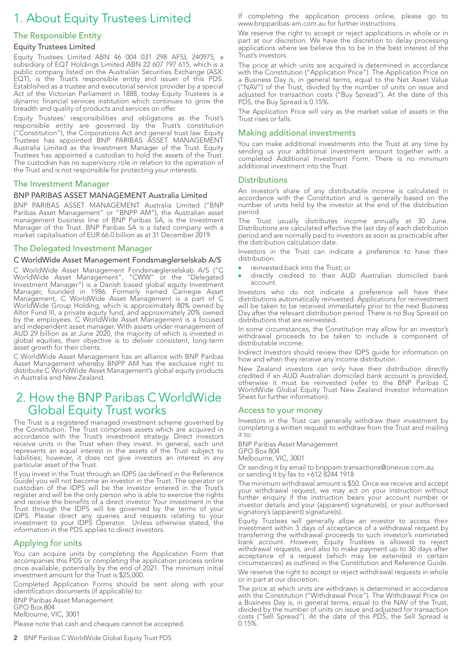## 1. About Equity Trustees Limited

## The Responsible Entity

#### Equity Trustees Limited

Equity Trustees Limited ABN 46 004 031 298 AFSL 240975, a subsidiary of EQT Holdings Limited ABN 22 607 797 615, which is a public company listed on the Australian Securities Exchange (ASX: EQT), is the Trust's responsible entity and issuer of this PDS. Established as a trustee and executorial service provider by a special Act of the Victorian Parliament in 1888, today Equity Trustees is a dynamic financial services institution which continues to grow the breadth and quality of products and services on offer.

Equity Trustees' responsibilities and obligations as the Trust's responsible entity are governed by the Trust's constitution ("Constitution"), the Corporations Act and general trust law. Equity Trustees has appointed BNP PARIBAS ASSET MANAGEMENT Australia Limited as the Investment Manager of the Trust. Equity Trustees has appointed a custodian to hold the assets of the Trust. The custodian has no supervisory role in relation to the operation of the Trust and is not responsible for protecting your interests.

#### The Investment Manager

#### BNP PARIBAS ASSET MANAGEMENT Australia Limited

BNP PARIBAS ASSET MANAGEMENT Australia Limited ("BNP Paribas Asset Management" or "BNPP AM"), the Australian asset management business line of BNP Paribas SA, is the Investment Manager of the Trust. BNP Paribas SA is a listed company with a market capitalisation of EUR 66.0 billion as at 31 December 2019.

### The Delegated Investment Manager

#### C WorldWide Asset Management Fondsmæglerselskab A/S

C WorldWide Asset Management Fondsmæglerselskab A/S ("C WorldWide Asset Management", "CWW" or the "Delegated Investment Manager") is a Danish based global equity Investment Manager, founded in 1986. Formerly named Carnegie Asset Management, C WorldWide Asset Management is a part of C WorldWide Group Holding, which is approximately 80% owned by Altor Fund III, a private equity fund, and approximately 20% owned by the employees. C WorldWide Asset Management is a focused and independent asset manager. With assets under management of AUD 29 billion as at June 2020, the majority of which is invested in global equities, their objective is to deliver consistent, long-term asset growth for their clients.

C WorldWide Asset Management has an alliance with BNP Paribas Asset Management whereby BNPP AM has the exclusive right to distribute C WorldWide Asset Management's global equity products in Australia and New Zealand.

## 2. How the BNP Paribas C WorldWide Global Equity Trust works

The Trust is a registered managed investment scheme governed by the Constitution. The Trust comprises assets which are acquired in accordance with the Trust's investment strategy. Direct investors receive units in the Trust when they invest. In general, each unit represents an equal interest in the assets of the Trust subject to liabilities; however, it does not give investors an interest in any particular asset of the Trust.

If you invest in the Trust through an IDPS (as defined in the Reference Guide) you will not become an investor in the Trust. The operator or custodian of the IDPS will be the investor entered in the Trust's register and will be the only person who is able to exercise the rights and receive the benefits of a direct investor. Your investment in the Trust through the IDPS will be governed by the terms of your IDPS. Please direct any queries and requests relating to your investment to your IDPS Operator. Unless otherwise stated, the information in the PDS applies to direct investors.

#### Applying for units

You can acquire units by completing the Application Form that accompanies this PDS or completing the application process online once available, potentially by the end of 2021. The minimum initial investment amount for the Trust is \$25,000.

Completed Application Forms should be sent along with your identification documents (if applicable) to:

BNP Paribas Asset Management GPO Box 804

Melbourne, VIC, 3001

Please note that cash and cheques cannot be accepted.

If completing the application process online, please go to www.bnpparibas-am.com.au for further instructions.

We reserve the right to accept or reject applications in whole or in part at our discretion. We have the discretion to delay processing applications where we believe this to be in the best interest of the Trust's investors.

The price at which units are acquired is determined in accordance with the Constitution ("Application Price"). The Application Price on a Business Day is, in general terms, equal to the Net Asset Value ("NAV") of the Trust, divided by the number of units on issue and adjusted for transaction costs ("Buy Spread"). At the date of this PDS, the Buy Spread is 0.15%.

The Application Price will vary as the market value of assets in the Trust rises or falls.

#### Making additional investments

You can make additional investments into the Trust at any time by sending us your additional investment amount together with a completed Additional Investment Form. There is no minimum additional investment into the Trust.

#### Distributions

An investor's share of any distributable income is calculated in accordance with the Constitution and is generally based on the number of units held by the investor at the end of the distribution period.

The Trust usually distributes income annually at 30 June. Distributions are calculated effective the last day of each distribution period and are normally paid to investors as soon as practicable after the distribution calculation date.

Investors in the Trust can indicate a preference to have their distribution:

- reinvested back into the Trust; or
- directly credited to their AUD Australian domiciled bank account.

Investors who do not indicate a preference will have their distributions automatically reinvested. Applications for reinvestment will be taken to be received immediately prior to the next Business Day after the relevant distribution period. There is no Buy Spread on distributions that are reinvested.

In some circumstances, the Constitution may allow for an investor's withdrawal proceeds to be taken to include a component of distributable income.

Indirect Investors should review their IDPS guide for information on how and when they receive any income distribution.

New Zealand investors can only have their distribution directly credited if an AUD Australian domiciled bank account is provided, otherwise it must be reinvested (refer to the BNP Paribas C WorldWide Global Equity Trust New Zealand Investor Information Sheet for further information).

#### Access to your money

Investors in the Trust can generally withdraw their investment by completing a written request to withdraw from the Trust and mailing it to:

BNP Paribas Asset Management GPO Box 804 Melbourne, VIC, 3001

Or sending it by email to bnppam.transactions@onevue.com.au or sending it by fax to +612 8244 1918

The minimum withdrawal amount is \$50. Once we receive and accept your withdrawal request, we may act on your instruction without further enquiry if the instruction bears your account number or investor details and your (apparent) signature(s), or your authorised signatory's (apparent) signature(s).

Equity Trustees will generally allow an investor to access their investment within 3 days of acceptance of a withdrawal request by transferring the withdrawal proceeds to such investor's nominated bank account. However, Equity Trustees is allowed to reject withdrawal requests, and also to make payment up to 30 days after acceptance of a request (which may be extended in certain circumstances) as outlined in the Constitution and Reference Guide. We reserve the right to accept or reject withdrawal requests in whole or in part at our discretion.

The price at which units are withdrawn is determined in accordance with the Constitution ("Withdrawal Price"). The Withdrawal Price on a Business Day is, in general terms, equal to the NAV of the Trust, divided by the number of units on issue and adjusted for transaction costs ("Sell Spread"). At the date of this PDS, the Sell Spread is 0.15%.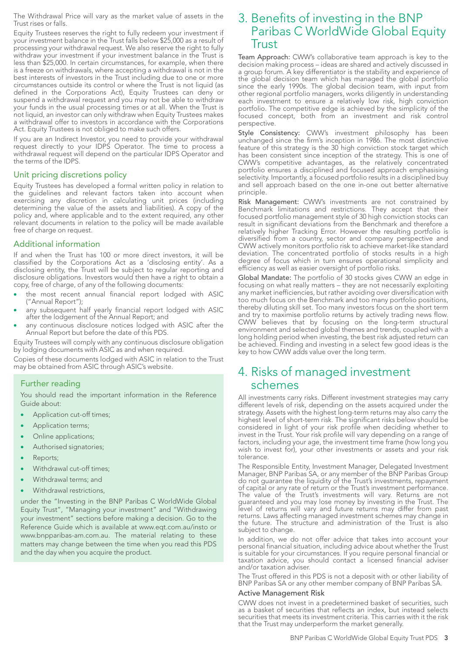The Withdrawal Price will vary as the market value of assets in the Trust rises or falls.

Equity Trustees reserves the right to fully redeem your investment if your investment balance in the Trust falls below \$25,000 as a result of processing your withdrawal request. We also reserve the right to fully withdraw your investment if your investment balance in the Trust is less than \$25,000. In certain circumstances, for example, when there is a freeze on withdrawals, where accepting a withdrawal is not in the best interests of investors in the Trust including due to one or more circumstances outside its control or where the Trust is not liquid (as defined in the Corporations Act), Equity Trustees can deny or suspend a withdrawal request and you may not be able to withdraw your funds in the usual processing times or at all. When the Trust is not liquid, an investor can only withdraw when Equity Trustees makes a withdrawal offer to investors in accordance with the Corporations Act. Equity Trustees is not obliged to make such offers.

If you are an Indirect Investor, you need to provide your withdrawal request directly to your IDPS Operator. The time to process a withdrawal request will depend on the particular IDPS Operator and the terms of the IDPS.

#### Unit pricing discretions policy

Equity Trustees has developed a formal written policy in relation to the guidelines and relevant factors taken into account when exercising any discretion in calculating unit prices (including determining the value of the assets and liabilities). A copy of the policy and, where applicable and to the extent required, any other relevant documents in relation to the policy will be made available free of charge on request.

#### Additional information

If and when the Trust has 100 or more direct investors, it will be classified by the Corporations Act as a 'disclosing entity'. As a disclosing entity, the Trust will be subject to regular reporting and disclosure obligations. Investors would then have a right to obtain a copy, free of charge, of any of the following documents:

- the most recent annual financial report lodged with ASIC ("Annual Report");
- any subsequent half yearly financial report lodged with ASIC after the lodgement of the Annual Report; and
- any continuous disclosure notices lodged with ASIC after the Annual Report but before the date of this PDS.

Equity Trustees will comply with any continuous disclosure obligation by lodging documents with ASIC as and when required.

Copies of these documents lodged with ASIC in relation to the Trust may be obtained from ASIC through ASIC's website.

## Further reading

You should read the important information in the Reference Guide about:

- Application cut-off times;
- Application terms;
- Online applications;
- Authorised signatories;
- Reports;
- Withdrawal cut-off times;
- Withdrawal terms; and
- Withdrawal restrictions,

under the "Investing in the BNP Paribas C WorldWide Global Equity Trust", "Managing your investment" and "Withdrawing your investment" sections before making a decision. Go to the Reference Guide which is available at www.eqt.com.au/insto or www.bnpparibas-am.com.au. The material relating to these matters may change between the time when you read this PDS and the day when you acquire the product.

## 3. Benefits of investing in the BNP Paribas C WorldWide Global Equity Trust

Team Approach: CWW's collaborative team approach is key to the decision making process – ideas are shared and actively discussed in a group forum. A key differentiator is the stability and experience of the global decision team which has managed the global portfolio since the early 1990s. The global decision team, with input from other regional portfolio managers, works diligently in understanding each investment to ensure a relatively low risk, high conviction portfolio. The competitive edge is achieved by the simplicity of the focused concept, both from an investment and risk control perspective.

Style Consistency: CWW's investment philosophy has been unchanged since the firm's inception in 1986. The most distinctive feature of this strategy is the 30 high conviction stock target which has been consistent since inception of the strategy. This is one of CWW's competitive advantages, as the relatively concentrated portfolio ensures a disciplined and focused approach emphasising selectivity. Importantly, a focused portfolio results in a disciplined buy and sell approach based on the one in-one out better alternative principle.

Risk Management: CWW's investments are not constrained by Benchmark limitations and restrictions. They accept that their focused portfolio management style of 30 high conviction stocks can result in significant deviations from the Benchmark and therefore a relatively higher Tracking Error. However the resulting portfolio is diversified from a country, sector and company perspective and CWW actively monitors portfolio risk to achieve market-like standard deviation. The concentrated portfolio of stocks results in a high degree of focus which in turn ensures operational simplicity and efficiency as well as easier oversight of portfolio risks.

Global Mandate: The portfolio of 30 stocks gives CWW an edge in focusing on what really matters – they are not necessarily exploiting any market inefficiencies, but rather avoiding over diversification with too much focus on the Benchmark and too many portfolio positions, thereby diluting skill set. Too many investors focus on the short term and try to maximise portfolio returns by actively trading news flow. CWW believes that by focusing on the long-term structural environment and selected global themes and trends, coupled with a long holding period when investing, the best risk adjusted return can be achieved. Finding and investing in a select few good ideas is the key to how CWW adds value over the long term.

## 4. Risks of managed investment schemes

All investments carry risks. Different investment strategies may carry different levels of risk, depending on the assets acquired under the strategy. Assets with the highest long-term returns may also carry the highest level of short-term risk. The significant risks below should be considered in light of your risk profile when deciding whether to invest in the Trust. Your risk profile will vary depending on a range of factors, including your age, the investment time frame (how long you wish to invest for), your other investments or assets and your risk tolerance.

The Responsible Entity, Investment Manager, Delegated Investment Manager, BNP Paribas SA, or any member of the BNP Paribas Group do not guarantee the liquidity of the Trust's investments, repayment of capital or any rate of return or the Trust's investment performance. The value of the Trust's investments will vary. Returns are not guaranteed and you may lose money by investing in the Trust. The level of returns will vary and future returns may differ from past returns. Laws affecting managed investment schemes may change in the future. The structure and administration of the Trust is also subject to change.

In addition, we do not offer advice that takes into account your personal financial situation, including advice about whether the Trust is suitable for your circumstances. If you require personal financial or taxation advice, you should contact a licensed financial adviser and/or taxation adviser.

The Trust offered in this PDS is not a deposit with or other liability of BNP Paribas SA or any other member company of BNP Paribas SA.

#### Active Management Risk

CWW does not invest in a predetermined basket of securities, such as a basket of securities that reflects an index, but instead selects securities that meets its investment criteria. This carries with it the risk that the Trust may underperform the market generally.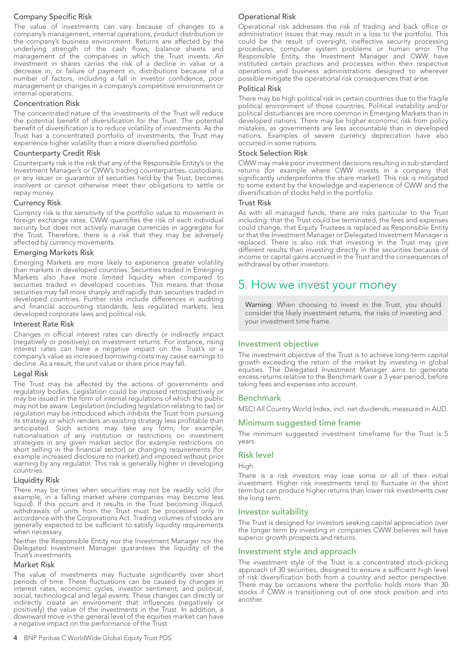## Company Specific Risk

The value of investments can vary because of changes to a company's management, internal operations, product distribution or the company's business environment. Returns are affected by the underlying strength of the cash flows, balance sheets and management of the companies in which the Trust invests. An investment in shares carries the risk of a decline in value or a decrease in, or failure of payment in, distributions because of a number of factors, including a fall in investor confidence, poor management or changes in a company's competitive environment or internal operations.

#### Concentration Risk

The concentrated nature of the investments of the Trust will reduce the potential benefit of diversification for the Trust. The potential benefit of diversification is to reduce volatility of investments. As the Trust has a concentrated portfolio of investments, the Trust may experience higher volatility than a more diversified portfolio.

#### Counterparty Credit Risk

Counterparty risk is the risk that any of the Responsible Entity's or the Investment Manager's or CWW's trading counterparties, custodians, or any issuer or guarantor of securities held by the Trust, becomes insolvent or cannot otherwise meet their obligations to settle or repay money.

#### Currency Risk

Currency risk is the sensitivity of the portfolio value to movement in foreign exchange rates. CWW quantifies the risk of each individual security but does not actively manage currencies in aggregate for the Trust. Therefore, there is a risk that they may be adversely affected by currency movements.

#### Emerging Markets Risk

Emerging Markets are more likely to experience greater volatility than markets in developed countries. Securities traded in Emerging Markets also have more limited liquidity when compared to securities traded in developed countries. This means that those securities may fall more sharply and rapidly than securities traded in developed countries. Further risks include differences in auditing and financial accounting standards, less regulated markets, less developed corporate laws and political risk.

#### Interest Rate Risk

Changes in official interest rates can directly or indirectly impact (negatively or positively) on investment returns. For instance, rising interest rates can have a negative impact on the Trust's or a company's value as increased borrowing costs may cause earnings to decline. As a result, the unit value or share price may fall.

#### Legal Risk

The Trust may be affected by the actions of governments and regulatory bodies. Legislation could be imposed retrospectively or may be issued in the form of internal regulations of which the public may not be aware. Legislation (including legislation relating to tax) or regulation may be introduced which inhibits the Trust from pursuing its strategy or which renders an existing strategy less profitable than anticipated. Such actions may take any form, for example, nationalisation of any institution or restrictions on investment strategies in any given market sector (for example restrictions on short selling in the financial sector) or changing requirements (for example increased disclosure to market) and imposed without prior warning by any regulator. This risk is generally higher in developing countries.

#### Liquidity Risk

There may be times when securities may not be readily sold (for example, in a falling market where companies may become less liquid). If this occurs and it results in the Trust becoming illiquid, withdrawals of units from the Trust must be processed only in accordance with the Corporations Act. Trading volumes of stocks are generally expected to be sufficient to satisfy liquidity requirements when necessary.

Neither the Responsible Entity nor the Investment Manager nor the Delegated Investment Manager guarantees the liquidity of the Trust's investments.

#### Market Risk

The value of investments may fluctuate significantly over short periods of time. These fluctuations can be caused by changes in interest rates, economic cycles, investor sentiment, and political, social, technological and legal events. These changes can directly or indirectly create an environment that influences (negatively or positively) the value of the investments in the Trust. In addition, a downward move in the general level of the equities market can have a negative impact on the performance of the Trust.

Operational risk addresses the risk of trading and back office or administration issues that may result in a loss to the portfolio. This could be the result of oversight, ineffective security processing procedures, computer system problems or human error. The Responsible Entity, the Investment Manager and CWW have instituted certain practices and processes within their respective operations and business administrations designed to wherever possible mitigate the operational risk consequences that arise.

#### Political Risk

There may be high political risk in certain countries due to the fragile political environment of those countries. Political instability and/or political disturbances are more common in Emerging Markets than in developed nations. There may be higher economic risk from policy mistakes, as governments are less accountable than in developed nations. Examples of severe currency depreciation have also occurred in some nations.

#### Stock Selection Risk

CWW may make poor investment decisions resulting in sub-standard returns (for example where CWW invests in a company that significantly underperforms the share market). This risk is mitigated to some extent by the knowledge and experience of CWW and the diversification of stocks held in the portfolio.

#### Trust Risk

As with all managed funds, there are risks particular to the Trust including: that the Trust could be terminated, the fees and expenses could change, that Equity Trustees is replaced as Responsible Entity or that the Investment Manager or Delegated Investment Manager is replaced. There is also risk that investing in the Trust may give different results than investing directly in the securities because of income or capital gains accrued in the Trust and the consequences of withdrawal by other investors.

## 5. How we invest your money

Warning: When choosing to invest in the Trust, you should consider the likely investment returns, the risks of investing and your investment time frame.

#### Investment objective

The investment objective of the Trust is to achieve long-term capital growth exceeding the return of the market by investing in global equities. The Delegated Investment Manager aims to generate excess returns relative to the Benchmark over a 3 year period, before taking fees and expenses into account.

#### Benchmark

MSCI All Country World Index, incl. net dividends, measured in AUD.

#### Minimum suggested time frame

The minimum suggested investment timeframe for the Trust is 5 years.

## Risk level

High.

There is a risk investors may lose some or all of their initial investment. Higher risk investments tend to fluctuate in the short term but can produce higher returns than lower risk investments over the long term.

#### Investor suitability

The Trust is designed for investors seeking capital appreciation over the longer term by investing in companies CWW believes will have superior growth prospects and returns.

### Investment style and approach

The investment style of the Trust is a concentrated stock-picking approach of 30 securities, designed to ensure a sufficient high level of risk diversification both from a country and sector perspective. There may be occasions where the portfolio holds more than 30 stocks if CWW is transitioning out of one stock position and into another.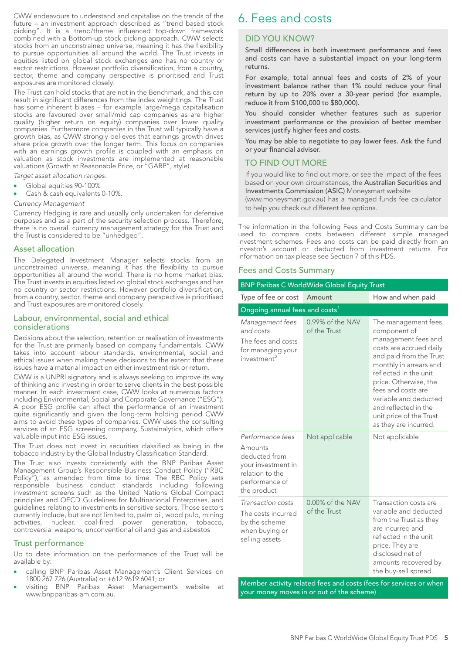CWW endeavours to understand and capitalise on the trends of the future – an investment approach described as "trend based stock picking". It is a trend/theme influenced top-down framework combined with a Bottom-up stock picking approach. CWW selects stocks from an unconstrained universe, meaning it has the flexibility to pursue opportunities all around the world. The Trust invests in equities listed on global stock exchanges and has no country or sector restrictions. However portfolio diversification, from a country, sector, theme and company perspective is prioritised and Trust exposures are monitored closely.

The Trust can hold stocks that are not in the Benchmark, and this can result in significant differences from the index weightings. The Trust has some inherent biases – for example large/mega capitalisation stocks are favoured over small/mid cap companies as are higher quality (higher return on equity) companies over lower quality companies. Furthermore companies in the Trust will typically have a growth bias, as CWW strongly believes that earnings growth drives share price growth over the longer term. This focus on companies with an earnings growth profile is coupled with an emphasis on valuation as stock investments are implemented at reasonable valuations (Growth at Reasonable Price, or "GARP", style).

- *Target asset allocation ranges:*
- Global equities 90-100%
- Cash & cash equivalents 0-10%.

#### *Currency Management*

Currency Hedging is rare and usually only undertaken for defensive purposes and as a part of the security selection process. Therefore, there is no overall currency management strategy for the Trust and the Trust is considered to be "unhedged".

#### Asset allocation

The Delegated Investment Manager selects stocks from an unconstrained universe, meaning it has the flexibility to pursue opportunities all around the world. There is no home market bias. The Trust invests in equities listed on global stock exchanges and has no country or sector restrictions. However portfolio diversification, from a country, sector, theme and company perspective is prioritised and Trust exposures are monitored closely.

## Labour, environmental, social and ethical considerations

Decisions about the selection, retention or realisation of investments for the Trust are primarily based on company fundamentals. CWW takes into account labour standards, environmental, social and ethical issues when making these decisions to the extent that these issues have a material impact on either investment risk or return.

CWW is a UNPRI signatory and is always seeking to improve its way of thinking and investing in order to serve clients in the best possible manner. In each investment case, CWW looks at numerous factors including Environmental, Social and Corporate Governance ("ESG"). A poor ESG profile can affect the performance of an investment quite significantly and given the long-term holding period CWW aims to avoid these types of companies. CWW uses the consulting services of an ESG screening company, Sustainalytics, which offers valuable input into ESG issues.

The Trust does not invest in securities classified as being in the tobacco industry by the Global Industry Classification Standard.

The Trust also invests consistently with the BNP Paribas Asset Management Group's Responsible Business Conduct Policy ("RBC Policy"), as amended from time to time. The RBC Policy sets responsible business conduct standards including following investment screens such as the United Nations Global Compact principles and OECD Guidelines for Multinational Enterprises, and guidelines relating to investments in sensitive sectors. Those sectors currently include, but are not limited to, palm oil, wood pulp, mining activities, nuclear, coal-fired power generation, tobacco, controversial weapons, unconventional oil and gas and asbestos

## Trust performance

Up to date information on the performance of the Trust will be available by:

- calling BNP Paribas Asset Management's Client Services on 1800 267 726 (Australia) or +612 9619 6041; or
- visiting BNP Paribas Asset Management's website at www.bnpparibas-am.com.au.

## 6. Fees and costs

## DID YOU KNOW?

Small differences in both investment performance and fees and costs can have a substantial impact on your long-term returns.

For example, total annual fees and costs of 2% of your investment balance rather than 1% could reduce your final return by up to 20% over a 30-year period (for example, reduce it from \$100,000 to \$80,000).

You should consider whether features such as superior investment performance or the provision of better member services justify higher fees and costs.

You may be able to negotiate to pay lower fees. Ask the fund or your financial adviser.

### TO FIND OUT MORE

If you would like to find out more, or see the impact of the fees based on your own circumstances, the Australian Securities and Investments Commission (ASIC) Moneysmart website

(www.moneysmart.gov.au) has a managed funds fee calculator to help you check out different fee options.

The information in the following Fees and Costs Summary can be used to compare costs between different simple managed investment schemes. Fees and costs can be paid directly from an investor's account or deducted from investment returns. For information on tax please see Section 7 of this PDS.

#### Fees and Costs Summary

| <b>BNP Paribas C WorldWide Global Equity Trust</b>                                                                     |                                  |                                                                                                                                                                                                                                                                                                                         |  |
|------------------------------------------------------------------------------------------------------------------------|----------------------------------|-------------------------------------------------------------------------------------------------------------------------------------------------------------------------------------------------------------------------------------------------------------------------------------------------------------------------|--|
| Type of fee or cost                                                                                                    | Amount                           | How and when paid                                                                                                                                                                                                                                                                                                       |  |
| Ongoing annual fees and costs <sup>1</sup>                                                                             |                                  |                                                                                                                                                                                                                                                                                                                         |  |
| Management fees<br>and costs<br>The fees and costs<br>for managing your<br>investment <sup>2</sup>                     | 0.99% of the NAV<br>of the Trust | The management fees<br>component of<br>management fees and<br>costs are accrued daily<br>and paid from the Trust<br>monthly in arrears and<br>reflected in the unit<br>price. Otherwise, the<br>fees and costs are<br>variable and deducted<br>and reflected in the<br>unit price of the Trust<br>as they are incurred. |  |
| Performance fees<br>Amounts<br>deducted from<br>your investment in<br>relation to the<br>performance of<br>the product | Not applicable                   | Not applicable                                                                                                                                                                                                                                                                                                          |  |
| Transaction costs<br>The costs incurred<br>by the scheme<br>when buying or<br>selling assets                           | 0.00% of the NAV<br>of the Trust | Transaction costs are<br>variable and deducted<br>from the Trust as they<br>are incurred and<br>reflected in the unit<br>price. They are<br>disclosed net of<br>amounts recovered by<br>the buy-sell spread.                                                                                                            |  |

Member activity related fees and costs (fees for services or when your money moves in or out of the scheme)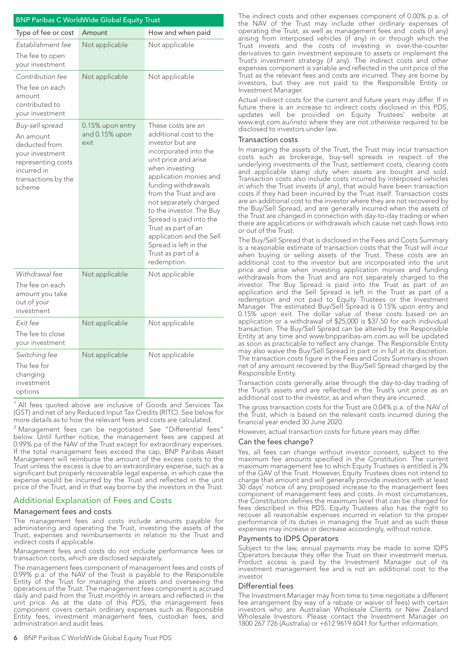| <b>BNP Paribas C WorldWide Global Equity Trust</b>                                                                                     |                                            |                                                                                                                                                                                                                                                                                                                                                                                                                  |  |  |
|----------------------------------------------------------------------------------------------------------------------------------------|--------------------------------------------|------------------------------------------------------------------------------------------------------------------------------------------------------------------------------------------------------------------------------------------------------------------------------------------------------------------------------------------------------------------------------------------------------------------|--|--|
| Type of fee or cost                                                                                                                    | Amount                                     | How and when paid                                                                                                                                                                                                                                                                                                                                                                                                |  |  |
| Establishment fee<br>The fee to open<br>your investment                                                                                | Not applicable                             | Not applicable                                                                                                                                                                                                                                                                                                                                                                                                   |  |  |
| Contribution fee<br>The fee on each<br>amount<br>contributed to<br>your investment                                                     | Not applicable                             | Not applicable                                                                                                                                                                                                                                                                                                                                                                                                   |  |  |
| Buy-sell spread<br>An amount<br>deducted from<br>your investment<br>representing costs<br>incurred in<br>transactions by the<br>scheme | 0.15% upon entry<br>and 0.15% upon<br>exit | These costs are an<br>additional cost to the<br>investor but are<br>incorporated into the<br>unit price and arise<br>when investing<br>application monies and<br>funding withdrawals<br>from the Trust and are<br>not separately charged<br>to the investor. The Buy<br>Spread is paid into the<br>Trust as part of an<br>application and the Sell<br>Spread is left in the<br>Trust as part of a<br>redemption. |  |  |
| Withdrawal fee<br>The fee on each<br>amount you take<br>out of your<br>investment                                                      | Not applicable                             | Not applicable                                                                                                                                                                                                                                                                                                                                                                                                   |  |  |
| Fxit fee<br>The fee to close<br>your investment                                                                                        | Not applicable                             | Not applicable                                                                                                                                                                                                                                                                                                                                                                                                   |  |  |
| Switching fee<br>The fee for<br>changing<br>investment<br>options                                                                      | Not applicable                             | Not applicable                                                                                                                                                                                                                                                                                                                                                                                                   |  |  |

<sup>1</sup> All fees quoted above are inclusive of Goods and Services Tax (GST) and net of any Reduced Input Tax Credits (RITC). See below for more details as to how the relevant fees and costs are calculated.

<sup>2</sup> Management fees can be negotiated. See "Differential fees" below. Until further notice, the management fees are capped at 0.99% pa of the NAV of the Trust except for extraordinary expenses. If the total management fees exceed the cap, BNP Paribas Asset Management will reimburse the amount of the excess costs to the Trust unless the excess is due to an extraordinary expense, such as a significant but properly recoverable legal expense, in which case the expense would be incurred by the Trust and reflected in the unit price of the Trust, and in that way borne by the investors in the Trust.

## Additional Explanation of Fees and Costs

#### Management fees and costs

The management fees and costs include amounts payable for administering and operating the Trust, investing the assets of the Trust, expenses and reimbursements in relation to the Trust and indirect costs if applicable.

Management fees and costs do not include performance fees or transaction costs, which are disclosed separately.

The management fees component of management fees and costs of 0.99% p.a. of the NAV of the Trust is payable to the Responsible Entity of the Trust for managing the assets and overseeing the operations of the Trust. The management fees component is accrued daily and paid from the Trust monthly in arrears and reflected in the unit price. As at the date of this PDS, the management fees component covers certain ordinary expenses such as Responsible Entity fees, investment management fees, custodian fees, and administration and audit fees.

The indirect costs and other expenses component of 0.00% p.a. of the NAV of the Trust may include other ordinary expenses of operating the Trust, as well as management fees and costs (if any) arising from interposed vehicles (if any) in or through which the Trust invests and the costs of investing in over-the-counter derivatives to gain investment exposure to assets or implement the Trust's investment strategy (if any). The indirect costs and other expenses component is variable and reflected in the unit price of the Trust as the relevant fees and costs are incurred. They are borne by investors, but they are not paid to the Responsible Entity or Investment Manager.

Actual indirect costs for the current and future years may differ. If in future there is an increase to indirect costs disclosed in this PDS, updates will be provided on Equity Trustees' website at www.eqt.com.au/insto where they are not otherwise required to be disclosed to investors under law.

#### Transaction costs

In managing the assets of the Trust, the Trust may incur transaction costs such as brokerage, buy-sell spreads in respect of the underlying investments of the Trust, settlement costs, clearing costs and applicable stamp duty when assets are bought and sold. Transaction costs also include costs incurred by interposed vehicles in which the Trust invests (if any), that would have been transaction costs if they had been incurred by the Trust itself. Transaction costs are an additional cost to the investor where they are not recovered by the Buy/Sell Spread, and are generally incurred when the assets of the Trust are changed in connection with day-to-day trading or when there are applications or withdrawals which cause net cash flows into or out of the Trust.

The Buy/Sell Spread that is disclosed in the Fees and Costs Summary is a reasonable estimate of transaction costs that the Trust will incur when buying or selling assets of the Trust. These costs are an additional cost to the investor but are incorporated into the unit price and arise when investing application monies and funding withdrawals from the Trust and are not separately charged to the investor. The Buy Spread is paid into the Trust as part of an application and the Sell Spread is left in the Trust as part of a redemption and not paid to Equity Trustees or the Investment Manager. The estimated Buy/Sell Spread is 0.15% upon entry and 0.15% upon exit. The dollar value of these costs based on an application or a withdrawal of \$25,000 is \$37.50 for each individual transaction. The Buy/Sell Spread can be altered by the Responsible Entity at any time and www.bnpparibas-am.com.au will be updated as soon as practicable to reflect any change. The Responsible Entity may also waive the Buy/Sell Spread in part or in full at its discretion. The transaction costs figure in the Fees and Costs Summary is shown net of any amount recovered by the Buy/Sell Spread charged by the Responsible Entity.

Transaction costs generally arise through the day-to-day trading of the Trust's assets and are reflected in the Trust's unit price as an additional cost to the investor, as and when they are incurred.

The gross transaction costs for the Trust are 0.04% p.a. of the NAV of the Trust, which is based on the relevant costs incurred during the financial year ended 30 June 2020.

However, actual transaction costs for future years may differ.

#### Can the fees change?

Yes, all fees can change without investor consent, subject to the maximum fee amounts specified in the Constitution. The current maximum management fee to which Equity Trustees is entitled is 2% of the GAV of the Trust. However, Equity Trustees does not intend to charge that amount and will generally provide investors with at least 30 days' notice of any proposed increase to the management fees component of management fees and costs. In most circumstances, the Constitution defines the maximum level that can be charged for fees described in this PDS. Equity Trustees also has the right to recover all reasonable expenses incurred in relation to the proper performance of its duties in managing the Trust and as such these expenses may increase or decrease accordingly, without notice.

#### Payments to IDPS Operators

Subject to the law, annual payments may be made to some IDPS Operators because they offer the Trust on their investment menus. Product access is paid by the Investment Manager out of its investment management fee and is not an additional cost to the investor.

#### Differential fees

The Investment Manager may from time to time negotiate a different fee arrangement (by way of a rebate or waiver of fees) with certain investors who are Australian Wholesale Clients or New Zealand Wholesale Investors. Please contact the Investment Manager on 1800 267 726 (Australia) or +612 9619 6041 for further information.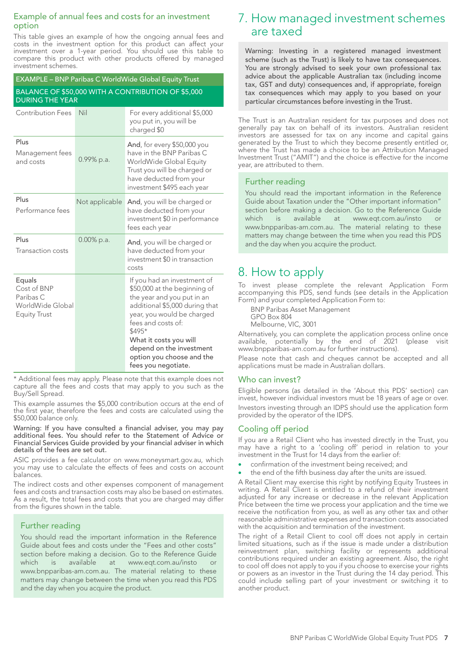## Example of annual fees and costs for an investment option

This table gives an example of how the ongoing annual fees and costs in the investment option for this product can affect your investment over a 1-year period. You should use this table to compare this product with other products offered by managed investment schemes.

| EXAMPLE - BNP Paribas C WorldWide Global Equity Trust                         |                                                                              |                                                                                                                                                                                                                                                                                                     |  |  |  |
|-------------------------------------------------------------------------------|------------------------------------------------------------------------------|-----------------------------------------------------------------------------------------------------------------------------------------------------------------------------------------------------------------------------------------------------------------------------------------------------|--|--|--|
|                                                                               | BALANCE OF \$50,000 WITH A CONTRIBUTION OF \$5,000<br><b>DURING THE YEAR</b> |                                                                                                                                                                                                                                                                                                     |  |  |  |
| <b>Contribution Fees</b>                                                      | Nil                                                                          | For every additional \$5,000<br>you put in, you will be<br>charged \$0                                                                                                                                                                                                                              |  |  |  |
| Plus<br>Management fees<br>and costs                                          | 0.99% p.a.                                                                   | <b>And, for every \$50,000 you</b><br>have in the BNP Paribas C<br>WorldWide Global Equity<br>Trust you will be charged or<br>have deducted from your<br>investment \$495 each year                                                                                                                 |  |  |  |
| Plus<br>Performance fees                                                      | Not applicable                                                               | And, you will be charged or<br>have deducted from your<br>investment \$0 in performance<br>fees each year                                                                                                                                                                                           |  |  |  |
| Plus<br>Transaction costs                                                     | $0.00\%$ p.a.                                                                | And, you will be charged or<br>have deducted from your<br>investment \$0 in transaction<br>costs                                                                                                                                                                                                    |  |  |  |
| Equals<br>Cost of BNP<br>Paribas C<br>WorldWide Global<br><b>Equity Trust</b> |                                                                              | If you had an investment of<br>\$50,000 at the beginning of<br>the year and you put in an<br>additional \$5,000 during that<br>year, you would be charged<br>fees and costs of:<br>\$495*<br>What it costs you will<br>depend on the investment<br>option you choose and the<br>fees you negotiate. |  |  |  |

\* Additional fees may apply. Please note that this example does not capture all the fees and costs that may apply to you such as the Buy/Sell Spread.

This example assumes the \$5,000 contribution occurs at the end of the first year, therefore the fees and costs are calculated using the \$50,000 balance only.

Warning: If you have consulted a financial adviser, you may pay additional fees. You should refer to the Statement of Advice or Financial Services Guide provided by your financial adviser in which details of the fees are set out.

ASIC provides a fee calculator on www.moneysmart.gov.au, which you may use to calculate the effects of fees and costs on account balances.

The indirect costs and other expenses component of management fees and costs and transaction costs may also be based on estimates. As a result, the total fees and costs that you are charged may differ from the figures shown in the table.

## Further reading

You should read the important information in the Reference Guide about fees and costs under the "Fees and other costs" section before making a decision. Go to the Reference Guide which is available at www.eqt.com.au/insto or www.bnpparibas-am.com.au. The material relating to these matters may change between the time when you read this PDS and the day when you acquire the product.

## 7. How managed investment schemes are taxed

Warning: Investing in a registered managed investment scheme (such as the Trust) is likely to have tax consequences. You are strongly advised to seek your own professional tax advice about the applicable Australian tax (including income tax, GST and duty) consequences and, if appropriate, foreign tax consequences which may apply to you based on your particular circumstances before investing in the Trust.

The Trust is an Australian resident for tax purposes and does not generally pay tax on behalf of its investors. Australian resident investors are assessed for tax on any income and capital gains generated by the Trust to which they become presently entitled or, where the Trust has made a choice to be an Attribution Managed Investment Trust ("AMIT") and the choice is effective for the income year, are attributed to them.

## Further reading

You should read the important information in the Reference Guide about Taxation under the "Other important information" section before making a decision. Go to the Reference Guide which is available at www.eqt.com.au/insto www.bnpparibas-am.com.au. The material relating to these matters may change between the time when you read this PDS and the day when you acquire the product.

## 8. How to apply

To invest please complete the relevant Application Form accompanying this PDS, send funds (see details in the Application Form) and your completed Application Form to:

BNP Paribas Asset Management GPO Box 804 Melbourne, VIC, 3001

Alternatively, you can complete the application process online once available, potentially by the end of 2021 (please visit www.bnpparibas-am.com.au for further instructions).

Please note that cash and cheques cannot be accepted and all applications must be made in Australian dollars.

## Who can invest?

Eligible persons (as detailed in the 'About this PDS' section) can invest, however individual investors must be 18 years of age or over. Investors investing through an IDPS should use the application form provided by the operator of the IDPS.

## Cooling off period

If you are a Retail Client who has invested directly in the Trust, you may have a right to a 'cooling off' period in relation to your investment in the Trust for 14 days from the earlier of:

- confirmation of the investment being received; and
- the end of the fifth business day after the units are issued.

A Retail Client may exercise this right by notifying Equity Trustees in writing. A Retail Client is entitled to a refund of their investment adjusted for any increase or decrease in the relevant Application Price between the time we process your application and the time we receive the notification from you, as well as any other tax and other reasonable administrative expenses and transaction costs associated with the acquisition and termination of the investment.

The right of a Retail Client to cool off does not apply in certain limited situations, such as if the issue is made under a distribution reinvestment plan, switching facility or represents additional contributions required under an existing agreement. Also, the right to cool off does not apply to you if you choose to exercise your rights or powers as an investor in the Trust during the 14 day period. This could include selling part of your investment or switching it to another product.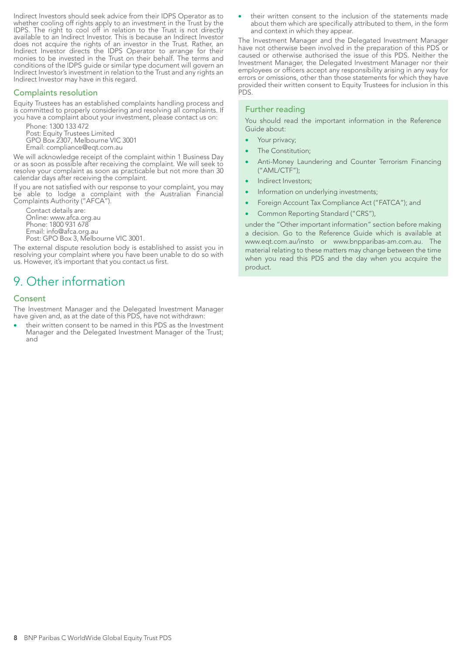Indirect Investors should seek advice from their IDPS Operator as to whether cooling off rights apply to an investment in the Trust by the IDPS. The right to cool off in relation to the Trust is not directly available to an Indirect Investor. This is because an Indirect Investor does not acquire the rights of an investor in the Trust. Rather, an Indirect Investor directs the IDPS Operator to arrange for their monies to be invested in the Trust on their behalf. The terms and conditions of the IDPS guide or similar type document will govern an Indirect Investor's investment in relation to the Trust and any rights an Indirect Investor may have in this regard.

### Complaints resolution

Equity Trustees has an established complaints handling process and is committed to properly considering and resolving all complaints. If you have a complaint about your investment, please contact us on:

Phone: 1300 133 472 Post: Equity Trustees Limited GPO Box 2307, Melbourne VIC 3001 Email: compliance@eqt.com.au

We will acknowledge receipt of the complaint within 1 Business Day or as soon as possible after receiving the complaint. We will seek to resolve your complaint as soon as practicable but not more than 30 calendar days after receiving the complaint.

If you are not satisfied with our response to your complaint, you may be able to lodge a complaint with the Australian Financial Complaints Authority ("AFCA").

Contact details are: Online: www.afca.org.au Phone: 1800 931 678 Email: info@afca.org.au Post: GPO Box 3, Melbourne VIC 3001.

The external dispute resolution body is established to assist you in resolving your complaint where you have been unable to do so with us. However, it's important that you contact us first.

## 9. Other information

### Consent

The Investment Manager and the Delegated Investment Manager have given and, as at the date of this PDS, have not withdrawn:

their written consent to be named in this PDS as the Investment Manager and the Delegated Investment Manager of the Trust; and

their written consent to the inclusion of the statements made about them which are specifically attributed to them, in the form and context in which they appear.

The Investment Manager and the Delegated Investment Manager have not otherwise been involved in the preparation of this PDS or caused or otherwise authorised the issue of this PDS. Neither the Investment Manager, the Delegated Investment Manager nor their employees or officers accept any responsibility arising in any way for errors or omissions, other than those statements for which they have provided their written consent to Equity Trustees for inclusion in this PDS.

### Further reading

You should read the important information in the Reference Guide about:

- Your privacy;
- The Constitution:
- Anti-Money Laundering and Counter Terrorism Financing ("AML/CTF");
- Indirect Investors;
- Information on underlying investments;
- Foreign Account Tax Compliance Act ("FATCA"); and
- Common Reporting Standard ("CRS"),

under the "Other important information" section before making a decision. Go to the Reference Guide which is available at www.eqt.com.au/insto or www.bnpparibas-am.com.au. The material relating to these matters may change between the time when you read this PDS and the day when you acquire the product.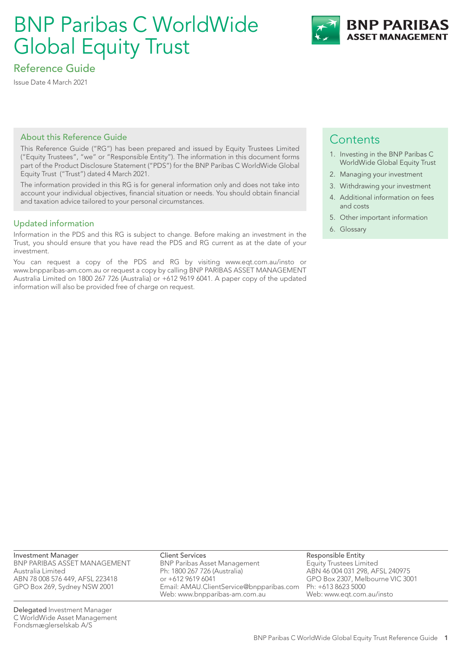# BNP Paribas C WorldWide Global Equity Trust



## Reference Guide

Issue Date 4 March 2021

## About this Reference Guide

This Reference Guide ("RG") has been prepared and issued by Equity Trustees Limited ("Equity Trustees", "we" or "Responsible Entity"). The information in this document forms part of the Product Disclosure Statement ("PDS") for the BNP Paribas C WorldWide Global Equity Trust ("Trust") dated 4 March 2021.

The information provided in this RG is for general information only and does not take into account your individual objectives, financial situation or needs. You should obtain financial and taxation advice tailored to your personal circumstances.

## Updated information

Information in the PDS and this RG is subject to change. Before making an investment in the Trust, you should ensure that you have read the PDS and RG current as at the date of your investment.

You can request a copy of the PDS and RG by visiting www.eqt.com.au/insto or www.bnpparibas-am.com.au or request a copy by calling BNP PARIBAS ASSET MANAGEMENT Australia Limited on 1800 267 726 (Australia) or +612 9619 6041. A paper copy of the updated information will also be provided free of charge on request.

## **Contents**

- 1. Investing in the BNP Paribas C WorldWide Global Equity Trust
- 2. Managing your investment
- 3. Withdrawing your investment
- 4. Additional information on fees and costs
- 5. Other important information
- 6. Glossary

Investment Manager BNP PARIBAS ASSET MANAGEMENT Australia Limited ABN 78 008 576 449, AFSL 223418 GPO Box 269, Sydney NSW 2001

Delegated Investment Manager C WorldWide Asset Management Fondsmæglerselskab A/S

Client Services BNP Paribas Asset Management Ph: 1800 267 726 (Australia) or +612 9619 6041 Email: AMAU.ClientService@bnpparibas.com Web: www.bnpparibas-am.com.au

Responsible Entity Equity Trustees Limited ABN 46 004 031 298, AFSL 240975 GPO Box 2307, Melbourne VIC 3001 Ph: +613 8623 5000 Web: www.eqt.com.au/insto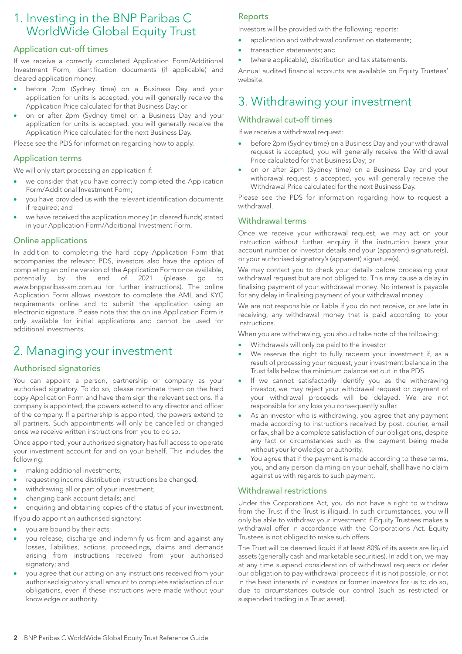## 1. Investing in the BNP Paribas C WorldWide Global Equity Trust

## Application cut-off times

If we receive a correctly completed Application Form/Additional Investment Form, identification documents (if applicable) and cleared application money:

- before 2pm (Sydney time) on a Business Day and your application for units is accepted, you will generally receive the Application Price calculated for that Business Day; or
- on or after 2pm (Sydney time) on a Business Day and your application for units is accepted, you will generally receive the Application Price calculated for the next Business Day.

Please see the PDS for information regarding how to apply.

## Application terms

We will only start processing an application if:

- we consider that you have correctly completed the Application Form/Additional Investment Form;
- you have provided us with the relevant identification documents if required; and
- we have received the application money (in cleared funds) stated in your Application Form/Additional Investment Form.

## Online applications

In addition to completing the hard copy Application Form that accompanies the relevant PDS, investors also have the option of completing an online version of the Application Form once available, potentially by the end of 2021 (please go to www.bnpparibas-am.com.au for further instructions). The online Application Form allows investors to complete the AML and KYC requirements online and to submit the application using an electronic signature. Please note that the online Application Form is only available for initial applications and cannot be used for additional investments.

## 2. Managing your investment

## Authorised signatories

You can appoint a person, partnership or company as your authorised signatory. To do so, please nominate them on the hard copy Application Form and have them sign the relevant sections. If a company is appointed, the powers extend to any director and officer of the company. If a partnership is appointed, the powers extend to all partners. Such appointments will only be cancelled or changed once we receive written instructions from you to do so.

Once appointed, your authorised signatory has full access to operate your investment account for and on your behalf. This includes the following:

- making additional investments;
- requesting income distribution instructions be changed;
- withdrawing all or part of your investment;
- changing bank account details; and
- enquiring and obtaining copies of the status of your investment. If you do appoint an authorised signatory:
- you are bound by their acts;
- you release, discharge and indemnify us from and against any losses, liabilities, actions, proceedings, claims and demands arising from instructions received from your authorised signatory; and
- you agree that our acting on any instructions received from your authorised signatory shall amount to complete satisfaction of our obligations, even if these instructions were made without your knowledge or authority.

## Reports

Investors will be provided with the following reports:

- application and withdrawal confirmation statements;
- transaction statements; and
- (where applicable), distribution and tax statements.

Annual audited financial accounts are available on Equity Trustees' website.

## 3. Withdrawing your investment

## Withdrawal cut-off times

If we receive a withdrawal request:

- before 2pm (Sydney time) on a Business Day and your withdrawal request is accepted, you will generally receive the Withdrawal Price calculated for that Business Day; or
- on or after 2pm (Sydney time) on a Business Day and your withdrawal request is accepted, you will generally receive the Withdrawal Price calculated for the next Business Day.

Please see the PDS for information regarding how to request a withdrawal.

## Withdrawal terms

Once we receive your withdrawal request, we may act on your instruction without further enquiry if the instruction bears your account number or investor details and your (apparent) signature(s), or your authorised signatory's (apparent) signature(s).

We may contact you to check your details before processing your withdrawal request but are not obliged to. This may cause a delay in finalising payment of your withdrawal money. No interest is payable for any delay in finalising payment of your withdrawal money.

We are not responsible or liable if you do not receive, or are late in receiving, any withdrawal money that is paid according to your instructions.

When you are withdrawing, you should take note of the following:

- Withdrawals will only be paid to the investor.
- We reserve the right to fully redeem your investment if, as a result of processing your request, your investment balance in the Trust falls below the minimum balance set out in the PDS.
- If we cannot satisfactorily identify you as the withdrawing investor, we may reject your withdrawal request or payment of your withdrawal proceeds will be delayed. We are not responsible for any loss you consequently suffer.
- As an investor who is withdrawing, you agree that any payment made according to instructions received by post, courier, email or fax, shall be a complete satisfaction of our obligations, despite any fact or circumstances such as the payment being made without your knowledge or authority.
- You agree that if the payment is made according to these terms, you, and any person claiming on your behalf, shall have no claim against us with regards to such payment.

## Withdrawal restrictions

Under the Corporations Act, you do not have a right to withdraw from the Trust if the Trust is illiquid. In such circumstances, you will only be able to withdraw your investment if Equity Trustees makes a withdrawal offer in accordance with the Corporations Act. Equity Trustees is not obliged to make such offers.

The Trust will be deemed liquid if at least 80% of its assets are liquid assets (generally cash and marketable securities). In addition, we may at any time suspend consideration of withdrawal requests or defer our obligation to pay withdrawal proceeds if it is not possible, or not in the best interests of investors or former investors for us to do so, due to circumstances outside our control (such as restricted or suspended trading in a Trust asset).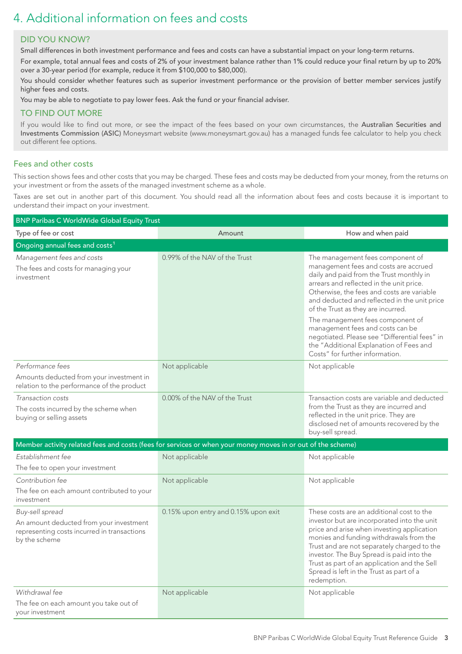## 4. Additional information on fees and costs

## DID YOU KNOW?

Small differences in both investment performance and fees and costs can have a substantial impact on your long-term returns.

For example, total annual fees and costs of 2% of your investment balance rather than 1% could reduce your final return by up to 20% over a 30-year period (for example, reduce it from \$100,000 to \$80,000).

You should consider whether features such as superior investment performance or the provision of better member services justify higher fees and costs.

You may be able to negotiate to pay lower fees. Ask the fund or your financial adviser.

## TO FIND OUT MORE

If you would like to find out more, or see the impact of the fees based on your own circumstances, the Australian Securities and Investments Commission (ASIC) Moneysmart website (www.moneysmart.gov.au) has a managed funds fee calculator to help you check out different fee options.

## Fees and other costs

This section shows fees and other costs that you may be charged. These fees and costs may be deducted from your money, from the returns on your investment or from the assets of the managed investment scheme as a whole.

Taxes are set out in another part of this document. You should read all the information about fees and costs because it is important to understand their impact on your investment.

| <b>BNP Paribas C WorldWide Global Equity Trust</b>                                                                         |                                                                                                             |                                                                                                                                                                                                                                                                                                                                                                                                                                                                           |  |
|----------------------------------------------------------------------------------------------------------------------------|-------------------------------------------------------------------------------------------------------------|---------------------------------------------------------------------------------------------------------------------------------------------------------------------------------------------------------------------------------------------------------------------------------------------------------------------------------------------------------------------------------------------------------------------------------------------------------------------------|--|
| Type of fee or cost                                                                                                        | Amount                                                                                                      | How and when paid                                                                                                                                                                                                                                                                                                                                                                                                                                                         |  |
| Ongoing annual fees and costs <sup>1</sup>                                                                                 |                                                                                                             |                                                                                                                                                                                                                                                                                                                                                                                                                                                                           |  |
| Management fees and costs<br>The fees and costs for managing your<br>investment                                            | 0.99% of the NAV of the Trust                                                                               | The management fees component of<br>management fees and costs are accrued<br>daily and paid from the Trust monthly in<br>arrears and reflected in the unit price.<br>Otherwise, the fees and costs are variable<br>and deducted and reflected in the unit price<br>of the Trust as they are incurred.<br>The management fees component of<br>management fees and costs can be<br>negotiated. Please see "Differential fees" in<br>the "Additional Explanation of Fees and |  |
|                                                                                                                            |                                                                                                             | Costs" for further information.                                                                                                                                                                                                                                                                                                                                                                                                                                           |  |
| Performance fees<br>Amounts deducted from your investment in<br>relation to the performance of the product                 | Not applicable                                                                                              | Not applicable                                                                                                                                                                                                                                                                                                                                                                                                                                                            |  |
| Transaction costs<br>The costs incurred by the scheme when<br>buying or selling assets                                     | 0.00% of the NAV of the Trust                                                                               | Transaction costs are variable and deducted<br>from the Trust as they are incurred and<br>reflected in the unit price. They are<br>disclosed net of amounts recovered by the<br>buy-sell spread.                                                                                                                                                                                                                                                                          |  |
|                                                                                                                            | Member activity related fees and costs (fees for services or when your money moves in or out of the scheme) |                                                                                                                                                                                                                                                                                                                                                                                                                                                                           |  |
| Establishment fee<br>The fee to open your investment                                                                       | Not applicable                                                                                              | Not applicable                                                                                                                                                                                                                                                                                                                                                                                                                                                            |  |
| Contribution fee                                                                                                           | Not applicable                                                                                              | Not applicable                                                                                                                                                                                                                                                                                                                                                                                                                                                            |  |
| The fee on each amount contributed to your<br>investment                                                                   |                                                                                                             |                                                                                                                                                                                                                                                                                                                                                                                                                                                                           |  |
| Buy-sell spread<br>An amount deducted from your investment<br>representing costs incurred in transactions<br>by the scheme | 0.15% upon entry and 0.15% upon exit                                                                        | These costs are an additional cost to the<br>investor but are incorporated into the unit<br>price and arise when investing application<br>monies and funding withdrawals from the<br>Trust and are not separately charged to the<br>investor. The Buy Spread is paid into the<br>Trust as part of an application and the Sell<br>Spread is left in the Trust as part of a<br>redemption.                                                                                  |  |
| Withdrawal fee                                                                                                             | Not applicable                                                                                              | Not applicable                                                                                                                                                                                                                                                                                                                                                                                                                                                            |  |
| The fee on each amount you take out of<br>your investment                                                                  |                                                                                                             |                                                                                                                                                                                                                                                                                                                                                                                                                                                                           |  |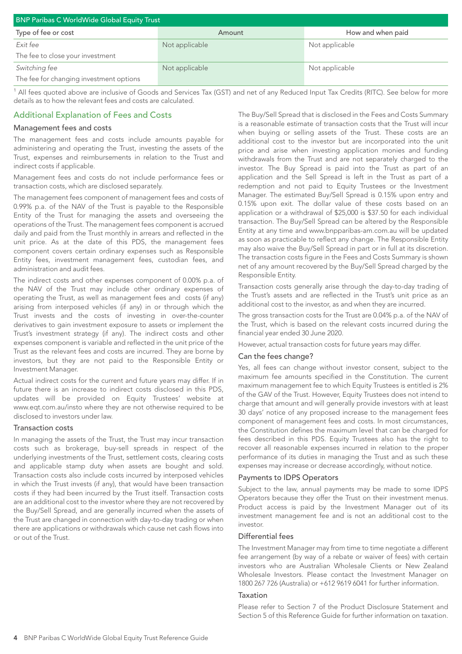| <b>BNP Paribas C WorldWide Global Equity Trust</b> |                |                   |  |
|----------------------------------------------------|----------------|-------------------|--|
| Type of fee or cost                                | Amount         | How and when paid |  |
| Exit fee                                           | Not applicable | Not applicable    |  |
| The fee to close your investment                   |                |                   |  |
| Switching fee                                      | Not applicable | Not applicable    |  |
| The fee for changing investment options            |                |                   |  |

<sup>1</sup> All fees quoted above are inclusive of Goods and Services Tax (GST) and net of any Reduced Input Tax Credits (RITC). See below for more details as to how the relevant fees and costs are calculated.

## Additional Explanation of Fees and Costs

#### Management fees and costs

The management fees and costs include amounts payable for administering and operating the Trust, investing the assets of the Trust, expenses and reimbursements in relation to the Trust and indirect costs if applicable.

Management fees and costs do not include performance fees or transaction costs, which are disclosed separately.

The management fees component of management fees and costs of 0.99% p.a. of the NAV of the Trust is payable to the Responsible Entity of the Trust for managing the assets and overseeing the operations of the Trust. The management fees component is accrued daily and paid from the Trust monthly in arrears and reflected in the unit price. As at the date of this PDS, the management fees component covers certain ordinary expenses such as Responsible Entity fees, investment management fees, custodian fees, and administration and audit fees.

The indirect costs and other expenses component of 0.00% p.a. of the NAV of the Trust may include other ordinary expenses of operating the Trust, as well as management fees and costs (if any) arising from interposed vehicles (if any) in or through which the Trust invests and the costs of investing in over-the-counter derivatives to gain investment exposure to assets or implement the Trust's investment strategy (if any). The indirect costs and other expenses component is variable and reflected in the unit price of the Trust as the relevant fees and costs are incurred. They are borne by investors, but they are not paid to the Responsible Entity or Investment Manager.

Actual indirect costs for the current and future years may differ. If in future there is an increase to indirect costs disclosed in this PDS, updates will be provided on Equity Trustees' website at www.eqt.com.au/insto where they are not otherwise required to be disclosed to investors under law.

#### Transaction costs

In managing the assets of the Trust, the Trust may incur transaction costs such as brokerage, buy-sell spreads in respect of the underlying investments of the Trust, settlement costs, clearing costs and applicable stamp duty when assets are bought and sold. Transaction costs also include costs incurred by interposed vehicles in which the Trust invests (if any), that would have been transaction costs if they had been incurred by the Trust itself. Transaction costs are an additional cost to the investor where they are not recovered by the Buy/Sell Spread, and are generally incurred when the assets of the Trust are changed in connection with day-to-day trading or when there are applications or withdrawals which cause net cash flows into or out of the Trust.

The Buy/Sell Spread that is disclosed in the Fees and Costs Summary is a reasonable estimate of transaction costs that the Trust will incur when buying or selling assets of the Trust. These costs are an additional cost to the investor but are incorporated into the unit price and arise when investing application monies and funding withdrawals from the Trust and are not separately charged to the investor. The Buy Spread is paid into the Trust as part of an application and the Sell Spread is left in the Trust as part of a redemption and not paid to Equity Trustees or the Investment Manager. The estimated Buy/Sell Spread is 0.15% upon entry and 0.15% upon exit. The dollar value of these costs based on an application or a withdrawal of \$25,000 is \$37.50 for each individual transaction. The Buy/Sell Spread can be altered by the Responsible Entity at any time and www.bnpparibas-am.com.au will be updated as soon as practicable to reflect any change. The Responsible Entity may also waive the Buy/Sell Spread in part or in full at its discretion. The transaction costs figure in the Fees and Costs Summary is shown net of any amount recovered by the Buy/Sell Spread charged by the Responsible Entity.

Transaction costs generally arise through the day-to-day trading of the Trust's assets and are reflected in the Trust's unit price as an additional cost to the investor, as and when they are incurred.

The gross transaction costs for the Trust are 0.04% p.a. of the NAV of the Trust, which is based on the relevant costs incurred during the financial year ended 30 June 2020.

However, actual transaction costs for future years may differ.

#### Can the fees change?

Yes, all fees can change without investor consent, subject to the maximum fee amounts specified in the Constitution. The current maximum management fee to which Equity Trustees is entitled is 2% of the GAV of the Trust. However, Equity Trustees does not intend to charge that amount and will generally provide investors with at least 30 days' notice of any proposed increase to the management fees component of management fees and costs. In most circumstances, the Constitution defines the maximum level that can be charged for fees described in this PDS. Equity Trustees also has the right to recover all reasonable expenses incurred in relation to the proper performance of its duties in managing the Trust and as such these expenses may increase or decrease accordingly, without notice.

### Payments to IDPS Operators

Subject to the law, annual payments may be made to some IDPS Operators because they offer the Trust on their investment menus. Product access is paid by the Investment Manager out of its investment management fee and is not an additional cost to the investor.

#### Differential fees

The Investment Manager may from time to time negotiate a different fee arrangement (by way of a rebate or waiver of fees) with certain investors who are Australian Wholesale Clients or New Zealand Wholesale Investors. Please contact the Investment Manager on 1800 267 726 (Australia) or +612 9619 6041 for further information.

#### Taxation

Please refer to Section 7 of the Product Disclosure Statement and Section 5 of this Reference Guide for further information on taxation.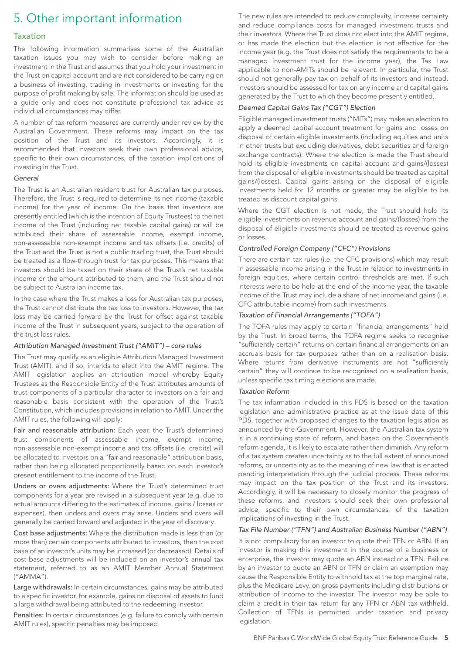## 5. Other important information

### Taxation

The following information summarises some of the Australian taxation issues you may wish to consider before making an investment in the Trust and assumes that you hold your investment in the Trust on capital account and are not considered to be carrying on a business of investing, trading in investments or investing for the purpose of profit making by sale. The information should be used as a guide only and does not constitute professional tax advice as individual circumstances may differ.

A number of tax reform measures are currently under review by the Australian Government. These reforms may impact on the tax position of the Trust and its investors. Accordingly, it is recommended that investors seek their own professional advice, specific to their own circumstances, of the taxation implications of investing in the Trust.

#### *General*

The Trust is an Australian resident trust for Australian tax purposes. Therefore, the Trust is required to determine its net income (taxable income) for the year of income. On the basis that investors are presently entitled (which is the intention of Equity Trustees) to the net income of the Trust (including net taxable capital gains) or will be attributed their share of assessable income, exempt income, non-assessable non-exempt income and tax offsets (i.e. credits) of the Trust and the Trust is not a public trading trust, the Trust should be treated as a flow-through trust for tax purposes. This means that investors should be taxed on their share of the Trust's net taxable income or the amount attributed to them, and the Trust should not be subject to Australian income tax.

In the case where the Trust makes a loss for Australian tax purposes, the Trust cannot distribute the tax loss to investors. However, the tax loss may be carried forward by the Trust for offset against taxable income of the Trust in subsequent years, subject to the operation of the trust loss rules.

#### *Attribution Managed Investment Trust ("AMIT") – core rules*

The Trust may qualify as an eligible Attribution Managed Investment Trust (AMIT), and if so, intends to elect into the AMIT regime. The AMIT legislation applies an attribution model whereby Equity Trustees as the Responsible Entity of the Trust attributes amounts of trust components of a particular character to investors on a fair and reasonable basis consistent with the operation of the Trust's Constitution, which includes provisions in relation to AMIT. Under the AMIT rules, the following will apply:

Fair and reasonable attribution: Each year, the Trust's determined trust components of assessable income, exempt income, non-assessable non-exempt income and tax offsets (i.e. credits) will be allocated to investors on a "fair and reasonable" attribution basis, rather than being allocated proportionally based on each investor's present entitlement to the income of the Trust.

Unders or overs adjustments: Where the Trust's determined trust components for a year are revised in a subsequent year (e.g. due to actual amounts differing to the estimates of income, gains / losses or expenses), then unders and overs may arise. Unders and overs will generally be carried forward and adjusted in the year of discovery.

Cost base adjustments: Where the distribution made is less than (or more than) certain components attributed to investors, then the cost base of an investor's units may be increased (or decreased). Details of cost base adjustments will be included on an investor's annual tax statement, referred to as an AMIT Member Annual Statement ("AMMA").

Large withdrawals: In certain circumstances, gains may be attributed to a specific investor, for example, gains on disposal of assets to fund a large withdrawal being attributed to the redeeming investor.

Penalties: In certain circumstances (e.g. failure to comply with certain AMIT rules), specific penalties may be imposed.

The new rules are intended to reduce complexity, increase certainty and reduce compliance costs for managed investment trusts and their investors. Where the Trust does not elect into the AMIT regime, or has made the election but the election is not effective for the income year (e.g. the Trust does not satisfy the requirements to be a managed investment trust for the income year), the Tax Law applicable to non-AMITs should be relevant. In particular, the Trust should not generally pay tax on behalf of its investors and instead, investors should be assessed for tax on any income and capital gains generated by the Trust to which they become presently entitled.

### *Deemed Capital Gains Tax ("CGT") Election*

Eligible managed investment trusts ("MITs") may make an election to apply a deemed capital account treatment for gains and losses on disposal of certain eligible investments (including equities and units in other trusts but excluding derivatives, debt securities and foreign exchange contracts). Where the election is made the Trust should hold its eligible investments on capital account and gains/(losses) from the disposal of eligible investments should be treated as capital gains/(losses). Capital gains arising on the disposal of eligible investments held for 12 months or greater may be eligible to be treated as discount capital gains.

Where the CGT election is not made, the Trust should hold its eligible investments on revenue account and gains/(losses) from the disposal of eligible investments should be treated as revenue gains or losses.

#### *Controlled Foreign Company ("CFC") Provisions*

There are certain tax rules (i.e. the CFC provisions) which may result in assessable income arising in the Trust in relation to investments in foreign equities, where certain control thresholds are met. If such interests were to be held at the end of the income year, the taxable income of the Trust may include a share of net income and gains (i.e. CFC attributable income) from such investments.

#### *Taxation of Financial Arrangements ("TOFA")*

The TOFA rules may apply to certain "financial arrangements" held by the Trust. In broad terms, the TOFA regime seeks to recognise "sufficiently certain" returns on certain financial arrangements on an accruals basis for tax purposes rather than on a realisation basis. Where returns from derivative instruments are not "sufficiently certain" they will continue to be recognised on a realisation basis, unless specific tax timing elections are made.

#### *Taxation Reform*

The tax information included in this PDS is based on the taxation legislation and administrative practice as at the issue date of this PDS, together with proposed changes to the taxation legislation as announced by the Government. However, the Australian tax system is in a continuing state of reform, and based on the Government's reform agenda, it is likely to escalate rather than diminish. Any reform of a tax system creates uncertainty as to the full extent of announced reforms, or uncertainty as to the meaning of new law that is enacted pending interpretation through the judicial process. These reforms may impact on the tax position of the Trust and its investors. Accordingly, it will be necessary to closely monitor the progress of these reforms, and investors should seek their own professional advice, specific to their own circumstances, of the taxation implications of investing in the Trust.

#### *Tax File Number ("TFN") and Australian Business Number ("ABN")*

It is not compulsory for an investor to quote their TFN or ABN. If an investor is making this investment in the course of a business or enterprise, the investor may quote an ABN instead of a TFN. Failure by an investor to quote an ABN or TFN or claim an exemption may cause the Responsible Entity to withhold tax at the top marginal rate, plus the Medicare Levy, on gross payments including distributions or attribution of income to the investor. The investor may be able to claim a credit in their tax return for any TFN or ABN tax withheld. Collection of TFNs is permitted under taxation and privacy legislation.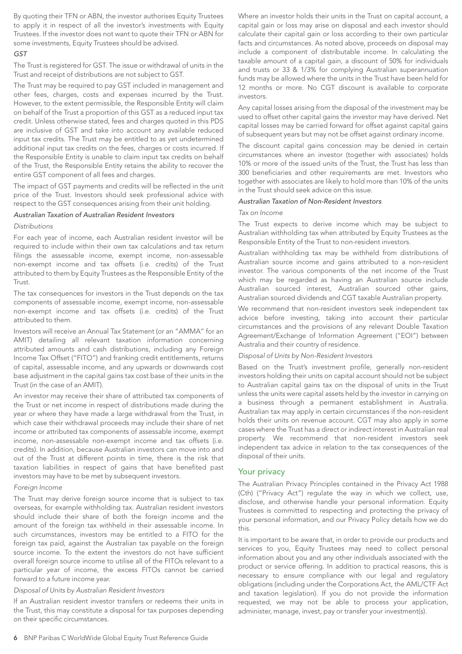By quoting their TFN or ABN, the investor authorises Equity Trustees to apply it in respect of all the investor's investments with Equity Trustees. If the investor does not want to quote their TFN or ABN for some investments, Equity Trustees should be advised.

#### *GST*

The Trust is registered for GST. The issue or withdrawal of units in the Trust and receipt of distributions are not subject to GST.

The Trust may be required to pay GST included in management and other fees, charges, costs and expenses incurred by the Trust. However, to the extent permissible, the Responsible Entity will claim on behalf of the Trust a proportion of this GST as a reduced input tax credit. Unless otherwise stated, fees and charges quoted in this PDS are inclusive of GST and take into account any available reduced input tax credits. The Trust may be entitled to as yet undetermined additional input tax credits on the fees, charges or costs incurred. If the Responsible Entity is unable to claim input tax credits on behalf of the Trust, the Responsible Entity retains the ability to recover the entire GST component of all fees and charges.

The impact of GST payments and credits will be reflected in the unit price of the Trust. Investors should seek professional advice with respect to the GST consequences arising from their unit holding.

#### *Australian Taxation of Australian Resident Investors*

#### *Distributions*

For each year of income, each Australian resident investor will be required to include within their own tax calculations and tax return filings the assessable income, exempt income, non-assessable non-exempt income and tax offsets (i.e. credits) of the Trust attributed to them by Equity Trustees as the Responsible Entity of the Trust.

The tax consequences for investors in the Trust depends on the tax components of assessable income, exempt income, non-assessable non-exempt income and tax offsets (i.e. credits) of the Trust attributed to them.

Investors will receive an Annual Tax Statement (or an "AMMA" for an AMIT) detailing all relevant taxation information concerning attributed amounts and cash distributions, including any Foreign Income Tax Offset ("FITO") and franking credit entitlements, returns of capital, assessable income, and any upwards or downwards cost base adjustment in the capital gains tax cost base of their units in the Trust (in the case of an AMIT).

An investor may receive their share of attributed tax components of the Trust or net income in respect of distributions made during the year or where they have made a large withdrawal from the Trust, in which case their withdrawal proceeds may include their share of net income or attributed tax components of assessable income, exempt income, non-assessable non-exempt income and tax offsets (i.e. credits). In addition, because Australian investors can move into and out of the Trust at different points in time, there is the risk that taxation liabilities in respect of gains that have benefited past investors may have to be met by subsequent investors.

#### *Foreign Income*

The Trust may derive foreign source income that is subject to tax overseas, for example withholding tax. Australian resident investors should include their share of both the foreign income and the amount of the foreign tax withheld in their assessable income. In such circumstances, investors may be entitled to a FITO for the foreign tax paid, against the Australian tax payable on the foreign source income. To the extent the investors do not have sufficient overall foreign source income to utilise all of the FITOs relevant to a particular year of income, the excess FITOs cannot be carried forward to a future income year.

### *Disposal of Units by Australian Resident Investors*

If an Australian resident investor transfers or redeems their units in the Trust, this may constitute a disposal for tax purposes depending on their specific circumstances.

Where an investor holds their units in the Trust on capital account, a capital gain or loss may arise on disposal and each investor should calculate their capital gain or loss according to their own particular facts and circumstances. As noted above, proceeds on disposal may include a component of distributable income. In calculating the taxable amount of a capital gain, a discount of 50% for individuals and trusts or 33 & 1/3% for complying Australian superannuation funds may be allowed where the units in the Trust have been held for 12 months or more. No CGT discount is available to corporate investors.

Any capital losses arising from the disposal of the investment may be used to offset other capital gains the investor may have derived. Net capital losses may be carried forward for offset against capital gains of subsequent years but may not be offset against ordinary income.

The discount capital gains concession may be denied in certain circumstances where an investor (together with associates) holds 10% or more of the issued units of the Trust, the Trust has less than 300 beneficiaries and other requirements are met. Investors who together with associates are likely to hold more than 10% of the units in the Trust should seek advice on this issue.

#### *Australian Taxation of Non-Resident Investors*

#### *Tax on Income*

The Trust expects to derive income which may be subject to Australian withholding tax when attributed by Equity Trustees as the Responsible Entity of the Trust to non-resident investors.

Australian withholding tax may be withheld from distributions of Australian source income and gains attributed to a non-resident investor. The various components of the net income of the Trust which may be regarded as having an Australian source include Australian sourced interest, Australian sourced other gains, Australian sourced dividends and CGT taxable Australian property.

We recommend that non-resident investors seek independent tax advice before investing, taking into account their particular circumstances and the provisions of any relevant Double Taxation Agreement/Exchange of Information Agreement ("EOI") between Australia and their country of residence.

#### *Disposal of Units by Non-Resident Investors*

Based on the Trust's investment profile, generally non-resident investors holding their units on capital account should not be subject to Australian capital gains tax on the disposal of units in the Trust unless the units were capital assets held by the investor in carrying on a business through a permanent establishment in Australia. Australian tax may apply in certain circumstances if the non-resident holds their units on revenue account. CGT may also apply in some cases where the Trust has a direct or indirect interest in Australian real property. We recommend that non-resident investors seek independent tax advice in relation to the tax consequences of the disposal of their units.

#### Your privacy

The Australian Privacy Principles contained in the Privacy Act 1988 (Cth) ("Privacy Act") regulate the way in which we collect, use, disclose, and otherwise handle your personal information. Equity Trustees is committed to respecting and protecting the privacy of your personal information, and our Privacy Policy details how we do this.

It is important to be aware that, in order to provide our products and services to you, Equity Trustees may need to collect personal information about you and any other individuals associated with the product or service offering. In addition to practical reasons, this is necessary to ensure compliance with our legal and regulatory obligations (including under the Corporations Act, the AML/CTF Act and taxation legislation). If you do not provide the information requested, we may not be able to process your application, administer, manage, invest, pay or transfer your investment(s).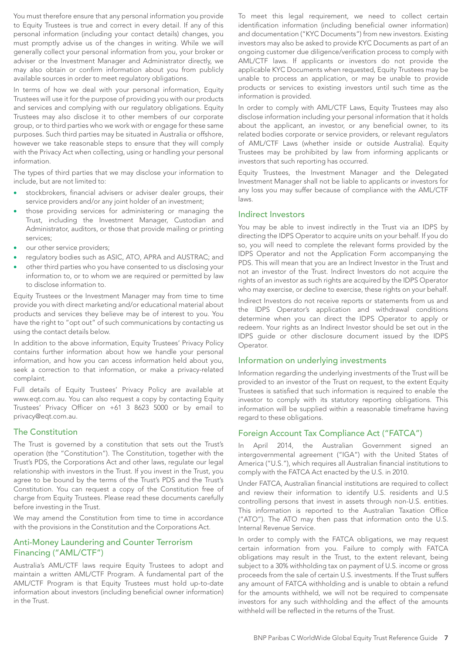You must therefore ensure that any personal information you provide to Equity Trustees is true and correct in every detail. If any of this personal information (including your contact details) changes, you must promptly advise us of the changes in writing. While we will generally collect your personal information from you, your broker or adviser or the Investment Manager and Administrator directly, we may also obtain or confirm information about you from publicly available sources in order to meet regulatory obligations.

In terms of how we deal with your personal information, Equity Trustees will use it for the purpose of providing you with our products and services and complying with our regulatory obligations. Equity Trustees may also disclose it to other members of our corporate group, or to third parties who we work with or engage for these same purposes. Such third parties may be situated in Australia or offshore, however we take reasonable steps to ensure that they will comply with the Privacy Act when collecting, using or handling your personal information.

The types of third parties that we may disclose your information to include, but are not limited to:

- stockbrokers, financial advisers or adviser dealer groups, their service providers and/or any joint holder of an investment;
- those providing services for administering or managing the Trust, including the Investment Manager, Custodian and Administrator, auditors, or those that provide mailing or printing services;
- our other service providers;
- regulatory bodies such as ASIC, ATO, APRA and AUSTRAC; and
- other third parties who you have consented to us disclosing your information to, or to whom we are required or permitted by law to disclose information to.

Equity Trustees or the Investment Manager may from time to time provide you with direct marketing and/or educational material about products and services they believe may be of interest to you. You have the right to "opt out" of such communications by contacting us using the contact details below.

In addition to the above information, Equity Trustees' Privacy Policy contains further information about how we handle your personal information, and how you can access information held about you, seek a correction to that information, or make a privacy-related complaint.

Full details of Equity Trustees' Privacy Policy are available at www.eqt.com.au. You can also request a copy by contacting Equity Trustees' Privacy Officer on +61 3 8623 5000 or by email to privacy@eqt.com.au.

## The Constitution

The Trust is governed by a constitution that sets out the Trust's operation (the "Constitution"). The Constitution, together with the Trust's PDS, the Corporations Act and other laws, regulate our legal relationship with investors in the Trust. If you invest in the Trust, you agree to be bound by the terms of the Trust's PDS and the Trust's Constitution. You can request a copy of the Constitution free of charge from Equity Trustees. Please read these documents carefully before investing in the Trust.

We may amend the Constitution from time to time in accordance with the provisions in the Constitution and the Corporations Act.

## Anti-Money Laundering and Counter Terrorism Financing ("AML/CTF")

Australia's AML/CTF laws require Equity Trustees to adopt and maintain a written AML/CTF Program. A fundamental part of the AML/CTF Program is that Equity Trustees must hold up-to-date information about investors (including beneficial owner information) in the Trust.

To meet this legal requirement, we need to collect certain identification information (including beneficial owner information) and documentation ("KYC Documents") from new investors. Existing investors may also be asked to provide KYC Documents as part of an ongoing customer due diligence/verification process to comply with AML/CTF laws. If applicants or investors do not provide the applicable KYC Documents when requested, Equity Trustees may be unable to process an application, or may be unable to provide products or services to existing investors until such time as the information is provided.

In order to comply with AML/CTF Laws, Equity Trustees may also disclose information including your personal information that it holds about the applicant, an investor, or any beneficial owner, to its related bodies corporate or service providers, or relevant regulators of AML/CTF Laws (whether inside or outside Australia). Equity Trustees may be prohibited by law from informing applicants or investors that such reporting has occurred.

Equity Trustees, the Investment Manager and the Delegated Investment Manager shall not be liable to applicants or investors for any loss you may suffer because of compliance with the AML/CTF laws.

#### Indirect Investors

You may be able to invest indirectly in the Trust via an IDPS by directing the IDPS Operator to acquire units on your behalf. If you do so, you will need to complete the relevant forms provided by the IDPS Operator and not the Application Form accompanying the PDS. This will mean that you are an Indirect Investor in the Trust and not an investor of the Trust. Indirect Investors do not acquire the rights of an investor as such rights are acquired by the IDPS Operator who may exercise, or decline to exercise, these rights on your behalf.

Indirect Investors do not receive reports or statements from us and the IDPS Operator's application and withdrawal conditions determine when you can direct the IDPS Operator to apply or redeem. Your rights as an Indirect Investor should be set out in the IDPS guide or other disclosure document issued by the IDPS Operator.

## Information on underlying investments

Information regarding the underlying investments of the Trust will be provided to an investor of the Trust on request, to the extent Equity Trustees is satisfied that such information is required to enable the investor to comply with its statutory reporting obligations. This information will be supplied within a reasonable timeframe having regard to these obligations.

## Foreign Account Tax Compliance Act ("FATCA")

In April 2014, the Australian Government signed an intergovernmental agreement ("IGA") with the United States of America ("U.S."), which requires all Australian financial institutions to comply with the FATCA Act enacted by the U.S. in 2010.

Under FATCA, Australian financial institutions are required to collect and review their information to identify U.S. residents and U.S controlling persons that invest in assets through non-U.S. entities. This information is reported to the Australian Taxation Office ("ATO"). The ATO may then pass that information onto the U.S. Internal Revenue Service.

In order to comply with the FATCA obligations, we may request certain information from you. Failure to comply with FATCA obligations may result in the Trust, to the extent relevant, being subject to a 30% withholding tax on payment of U.S. income or gross proceeds from the sale of certain U.S. investments. If the Trust suffers any amount of FATCA withholding and is unable to obtain a refund for the amounts withheld, we will not be required to compensate investors for any such withholding and the effect of the amounts withheld will be reflected in the returns of the Trust.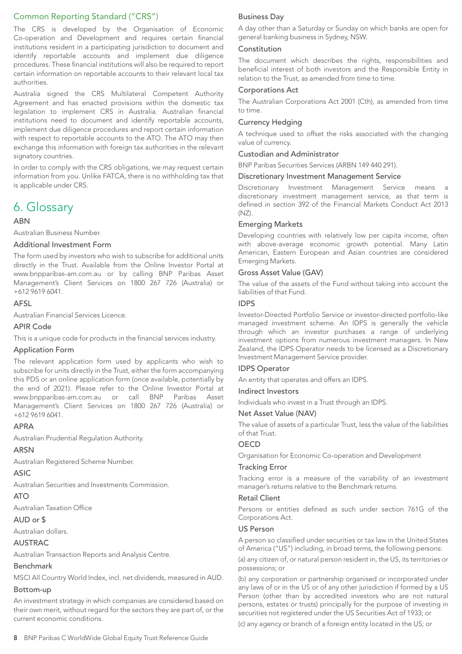## Common Reporting Standard ("CRS")

The CRS is developed by the Organisation of Economic Co-operation and Development and requires certain financial institutions resident in a participating jurisdiction to document and identify reportable accounts and implement due diligence procedures. These financial institutions will also be required to report certain information on reportable accounts to their relevant local tax authorities.

Australia signed the CRS Multilateral Competent Authority Agreement and has enacted provisions within the domestic tax legislation to implement CRS in Australia. Australian financial institutions need to document and identify reportable accounts, implement due diligence procedures and report certain information with respect to reportable accounts to the ATO. The ATO may then exchange this information with foreign tax authorities in the relevant signatory countries.

In order to comply with the CRS obligations, we may request certain information from you. Unlike FATCA, there is no withholding tax that is applicable under CRS.

## 6. Glossary

## **ARN**

Australian Business Number.

### Additional Investment Form

The form used by investors who wish to subscribe for additional units directly in the Trust. Available from the Online Investor Portal at www.bnpparibas-am.com.au or by calling BNP Paribas Asset Management's Client Services on 1800 267 726 (Australia) or +612 9619 6041.

## AFSL

Australian Financial Services Licence.

#### APIR Code

This is a unique code for products in the financial services industry.

#### Application Form

The relevant application form used by applicants who wish to subscribe for units directly in the Trust, either the form accompanying this PDS or an online application form (once available, potentially by the end of 2021). Please refer to the Online Investor Portal at www.bnpparibas-am.com.au or call BNP Paribas Asset Management's Client Services on 1800 267 726 (Australia) or +612 9619 6041.

## APRA

Australian Prudential Regulation Authority.

## ARSN

Australian Registered Scheme Number.

## ASIC

Australian Securities and Investments Commission.

#### ATO

Australian Taxation Office

#### AUD or \$

Australian dollars.

## AUSTRAC

Australian Transaction Reports and Analysis Centre.

## Benchmark

MSCI All Country World Index, incl. net dividends, measured in AUD.

#### Bottom-up

An investment strategy in which companies are considered based on their own merit, without regard for the sectors they are part of, or the current economic conditions.

A day other than a Saturday or Sunday on which banks are open for general banking business in Sydney, NSW.

#### Constitution

The document which describes the rights, responsibilities and beneficial interest of both investors and the Responsible Entity in relation to the Trust, as amended from time to time.

#### Corporations Act

The Australian Corporations Act 2001 (Cth), as amended from time to time.

### Currency Hedging

A technique used to offset the risks associated with the changing value of currency.

#### Custodian and Administrator

BNP Paribas Securities Services (ARBN 149 440 291).

#### Discretionary Investment Management Service

Discretionary Investment Management Service means a discretionary investment management service, as that term is defined in section 392 of the Financial Markets Conduct Act 2013  $(NZ)$ 

#### Emerging Markets

Developing countries with relatively low per capita income, often with above-average economic growth potential. Many Latin American, Eastern European and Asian countries are considered Emerging Markets.

### Gross Asset Value (GAV)

The value of the assets of the Fund without taking into account the liabilities of that Fund.

#### IDPS

Investor-Directed Portfolio Service or investor-directed portfolio-like managed investment scheme. An IDPS is generally the vehicle through which an investor purchases a range of underlying investment options from numerous investment managers. In New Zealand, the IDPS Operator needs to be licensed as a Discretionary Investment Management Service provider.

## IDPS Operator

An entity that operates and offers an IDPS.

#### Indirect Investors

Individuals who invest in a Trust through an IDPS.

#### Net Asset Value (NAV)

The value of assets of a particular Trust, less the value of the liabilities of that Trust.

#### **OECD**

Organisation for Economic Co-operation and Development

#### Tracking Error

Tracking error is a measure of the variability of an investment manager's returns relative to the Benchmark returns.

### Retail Client

Persons or entities defined as such under section 761G of the Corporations Act.

#### US Person

A person so classified under securities or tax law in the United States of America ("US") including, in broad terms, the following persons:

(a) any citizen of, or natural person resident in, the US, its territories or possessions; or

(b) any corporation or partnership organised or incorporated under any laws of or in the US or of any other jurisdiction if formed by a US Person (other than by accredited investors who are not natural persons, estates or trusts) principally for the purpose of investing in securities not registered under the US Securities Act of 1933; or

(c) any agency or branch of a foreign entity located in the US; or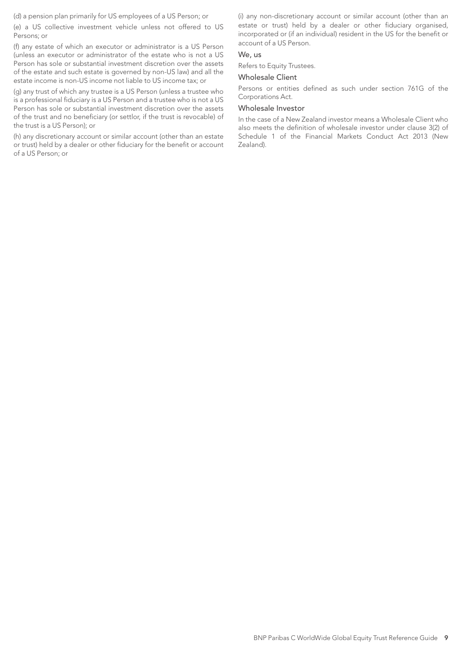(d) a pension plan primarily for US employees of a US Person; or

(e) a US collective investment vehicle unless not offered to US Persons; or

(f) any estate of which an executor or administrator is a US Person (unless an executor or administrator of the estate who is not a US Person has sole or substantial investment discretion over the assets of the estate and such estate is governed by non-US law) and all the estate income is non-US income not liable to US income tax; or

(g) any trust of which any trustee is a US Person (unless a trustee who is a professional fiduciary is a US Person and a trustee who is not a US Person has sole or substantial investment discretion over the assets of the trust and no beneficiary (or settlor, if the trust is revocable) of the trust is a US Person); or

(h) any discretionary account or similar account (other than an estate or trust) held by a dealer or other fiduciary for the benefit or account of a US Person; or

(i) any non-discretionary account or similar account (other than an estate or trust) held by a dealer or other fiduciary organised, incorporated or (if an individual) resident in the US for the benefit or account of a US Person.

## We, us

Refers to Equity Trustees.

## Wholesale Client

Persons or entities defined as such under section 761G of the Corporations Act.

#### Wholesale Investor

In the case of a New Zealand investor means a Wholesale Client who also meets the definition of wholesale investor under clause 3(2) of Schedule 1 of the Financial Markets Conduct Act 2013 (New Zealand).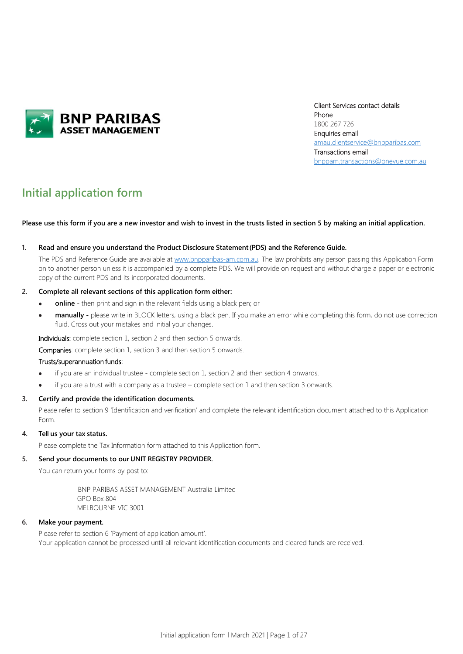

Client Services contact details Phone 1800 267 726 Enquiries email [amau.clientservice@bnpparibas.com](mailto:amau.clientservice@bnpparibas.com) Transactions email [bnppam.transactions@onevue.com.au](mailto:bnppam.transactions@onevue.com.au)

## **Initial application form**

#### **Please use this form if you are a new investor and wish to invest in the trusts listed in section 5 by making an initial application.**

#### **1. Read and ensure you understand the Product Disclosure Statement(PDS) and the Reference Guide.**

The PDS and Reference Guide are available at [www.bnpparibas-am.com.au.](http://www.bnpparibas-am.com.au/) The law prohibits any person passing this Application Form on to another person unless it is accompanied by a complete PDS. We will provide on request and without charge a paper or electronic copy of the current PDS and its incorporated documents.

#### **2. Complete all relevant sections of this application form either:**

- **online**  then print and sign in the relevant fields using a black pen; or
- **manually -** please write in BLOCK letters, using a black pen. If you make an error while completing this form, do not use correction fluid. Cross out your mistakes and initial your changes.

Individuals: complete section 1, section 2 and then section 5 onwards.

Companies: complete section 1, section 3 and then section 5 onwards.

#### Trusts/superannuation funds:

- if you are an individual trustee complete section 1, section 2 and then section 4 onwards.
- if you are a trust with a company as a trustee complete section 1 and then section 3 onwards.

#### **3. Certify and provide the identification documents.**

Please refer to section 9 'Identification and verification' and complete the relevant identification document attached to this Application Form.

#### **4. Tell us your tax status.**

Please complete the Tax Information form attached to this Application form.

#### **5. Send your documents to our UNIT REGISTRY PROVIDER.**

You can return your forms by post to:

BNP PARIBAS ASSET MANAGEMENT Australia Limited GPO Box 804 MELBOURNE VIC 3001

#### **6. Make your payment.**

Please refer to section 6 'Payment of application amount'. Your application cannot be processed until all relevant identification documents and cleared funds are received.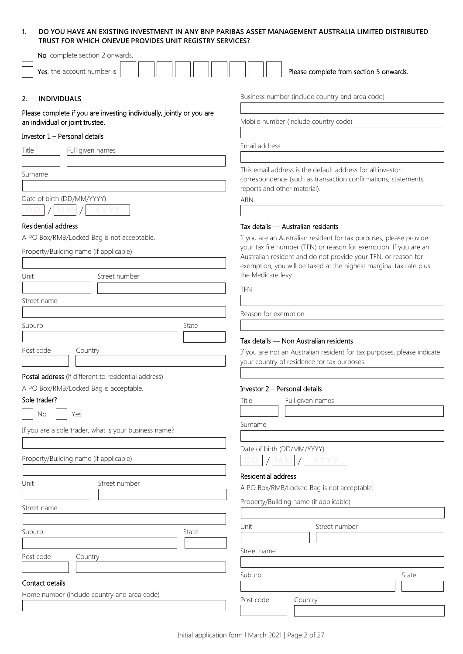## **1. DO YOU HAVE AN EXISTING INVESTMENT IN ANY BNP PARIBAS ASSET MANAGEMENT AUSTRALIA LIMITED DISTRIBUTED TRUST FOR WHICH ONEVUE PROVIDES UNIT REGISTRY SERVICES?**

| No, complete section 2 onwards.                                                                          |                                                                                                                                                                                                                                 |  |  |
|----------------------------------------------------------------------------------------------------------|---------------------------------------------------------------------------------------------------------------------------------------------------------------------------------------------------------------------------------|--|--|
| Yes, the account number is                                                                               | Please complete from section 5 onwards.                                                                                                                                                                                         |  |  |
| 2.<br><b>INDIVIDUALS</b>                                                                                 | Business number (include country and area code)                                                                                                                                                                                 |  |  |
| Please complete if you are investing individually, jointly or you are<br>an individual or joint trustee. | Mobile number (include country code)                                                                                                                                                                                            |  |  |
| Investor 1 - Personal details                                                                            |                                                                                                                                                                                                                                 |  |  |
| Title<br>Full given names                                                                                | Email address                                                                                                                                                                                                                   |  |  |
|                                                                                                          |                                                                                                                                                                                                                                 |  |  |
| Surname<br>Date of birth (DD/MM/YYYY)                                                                    | This email address is the default address for all investor<br>correspondence (such as transaction confirmations, statements,<br>reports and other material).<br><b>ABN</b>                                                      |  |  |
|                                                                                                          |                                                                                                                                                                                                                                 |  |  |
| Residential address                                                                                      | Tax details - Australian residents                                                                                                                                                                                              |  |  |
| A PO Box/RMB/Locked Bag is not acceptable.                                                               | If you are an Australian resident for tax purposes, please provide                                                                                                                                                              |  |  |
| Property/Building name (if applicable)<br>Street number<br>Unit                                          | your tax file number (TFN) or reason for exemption. If you are an<br>Australian resident and do not provide your TFN, or reason for<br>exemption, you will be taxed at the highest marginal tax rate plus<br>the Medicare levy. |  |  |
|                                                                                                          |                                                                                                                                                                                                                                 |  |  |
| Street name                                                                                              | <b>TFN</b>                                                                                                                                                                                                                      |  |  |
|                                                                                                          | Reason for exemption                                                                                                                                                                                                            |  |  |
| Suburb<br>State                                                                                          |                                                                                                                                                                                                                                 |  |  |
|                                                                                                          |                                                                                                                                                                                                                                 |  |  |
| Post code<br>Country                                                                                     | Tax details - Non Australian residents<br>If you are not an Australian resident for tax purposes, please indicate<br>your country of residence for tax purposes.                                                                |  |  |
| Postal address (if different to residential address)                                                     |                                                                                                                                                                                                                                 |  |  |
| A PO Box/RMB/Locked Bag is acceptable.                                                                   | Investor 2 – Personal details                                                                                                                                                                                                   |  |  |
| Sole trader?                                                                                             | Title<br>Full given names                                                                                                                                                                                                       |  |  |
| No<br>Yes                                                                                                |                                                                                                                                                                                                                                 |  |  |
| If you are a sole trader, what is your business name?                                                    | Surname                                                                                                                                                                                                                         |  |  |
| Property/Building name (if applicable)                                                                   | Date of birth (DD/MM/YYYY)                                                                                                                                                                                                      |  |  |
| Street number<br>Unit                                                                                    | Residential address                                                                                                                                                                                                             |  |  |
|                                                                                                          | A PO Box/RMB/Locked Bag is not acceptable.                                                                                                                                                                                      |  |  |
| Street name                                                                                              | Property/Building name (if applicable)                                                                                                                                                                                          |  |  |
|                                                                                                          |                                                                                                                                                                                                                                 |  |  |
| Suburb<br>State                                                                                          | Unit<br>Street number                                                                                                                                                                                                           |  |  |
|                                                                                                          |                                                                                                                                                                                                                                 |  |  |
| Post code<br>Country                                                                                     | Street name                                                                                                                                                                                                                     |  |  |
|                                                                                                          |                                                                                                                                                                                                                                 |  |  |
| Contact details                                                                                          | Suburb<br>State                                                                                                                                                                                                                 |  |  |
| Home number (include country and area code)                                                              |                                                                                                                                                                                                                                 |  |  |
|                                                                                                          | Post code<br>Country                                                                                                                                                                                                            |  |  |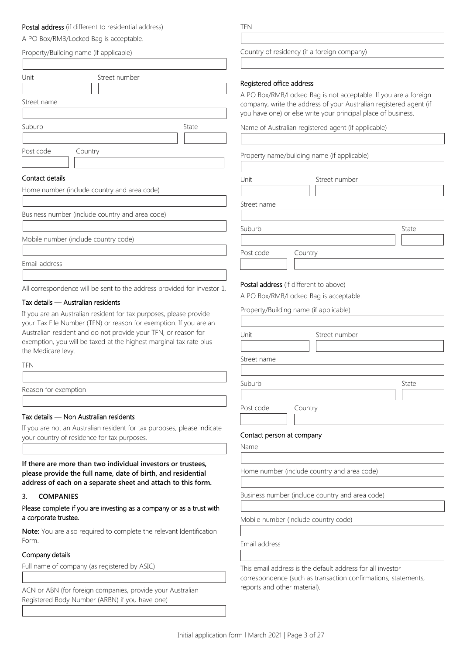## Postal address (if different to residential address)

A PO Box/RMB/Locked Bag is acceptable.

| Property/Building name (if applicable)                                                                                              |       | Country of r              |
|-------------------------------------------------------------------------------------------------------------------------------------|-------|---------------------------|
|                                                                                                                                     |       |                           |
| Unit<br>Street number                                                                                                               |       | Registered o              |
|                                                                                                                                     |       | A PO Box/R                |
| Street name                                                                                                                         |       | company, w<br>you have or |
| Suburb                                                                                                                              | State | Name of Au                |
|                                                                                                                                     |       |                           |
| Post code<br>Country                                                                                                                |       | Property nar              |
|                                                                                                                                     |       |                           |
| Contact details                                                                                                                     |       | Unit                      |
| Home number (include country and area code)                                                                                         |       |                           |
|                                                                                                                                     |       | Street name               |
| Business number (include country and area code)                                                                                     |       |                           |
|                                                                                                                                     |       | Suburb                    |
| Mobile number (include country code)                                                                                                |       |                           |
|                                                                                                                                     |       | Post code                 |
| Email address                                                                                                                       |       |                           |
| All correspondence will be sent to the address provided for investor 1.                                                             |       | Postal addre              |
| Tax details - Australian residents                                                                                                  |       | A PO Box/R                |
| If you are an Australian resident for tax purposes, please provide                                                                  |       | Property/Bu               |
| your Tax File Number (TFN) or reason for exemption. If you are an<br>Australian resident and do not provide your TFN, or reason for |       |                           |
| exemption, you will be taxed at the highest marginal tax rate plus                                                                  |       | Unit                      |
| the Medicare levy.                                                                                                                  |       |                           |
| <b>TFN</b>                                                                                                                          |       | Street name               |
|                                                                                                                                     |       | Suburb                    |
| Reason for exemption                                                                                                                |       |                           |

#### Tax details — Non Australian residents

If you are not an Australian resident for tax purposes, please indicate your country of residence for tax purposes.

**If there are more than two individual investors or trustees, please provide the full name, date of birth, and residential address of each on a separate sheet and attach to this form.**

#### **3. COMPANIES**

Please complete if you are investing as a company or as a trust with a corporate trustee.

**Note:** You are also required to complete the relevant Identification Form.

#### Company details

Full name of company (as registered by ASIC)

ACN or ABN (for foreign companies, provide your Australian Registered Body Number (ARBN) if you have one)

TFN

#### esidency (if a foreign company)

#### office address

MB/Locked Bag is not acceptable. If you are a foreign rrite the address of your Australian registered agent (if ne) or else write your principal place of business.

istralian registered agent (if applicable)

me/building name (if applicable)

| Unit        | Street number |       |
|-------------|---------------|-------|
|             |               |       |
| Street name |               |       |
|             |               |       |
| Suburb      |               | State |
|             |               |       |
| Post code   | Country       |       |
|             |               |       |

#### ess (if different to above)

MB/Locked Bag is acceptable.

iilding name (if applicable)

| Unit                      | Street number |       |
|---------------------------|---------------|-------|
| Street name               |               |       |
|                           |               |       |
| Suburb                    |               | State |
|                           |               |       |
| Post code                 | Country       |       |
|                           |               |       |
| Contact person at company |               |       |
| $N = 2$                   |               |       |

| ٠<br>. .<br>×<br>۰, |  |
|---------------------|--|
|---------------------|--|

Home number (include country and area code)

Business number (include country and area code)

Mobile number (include country code)

Email address

This email address is the default address for all investor correspondence (such as transaction confirmations, statements, reports and other material).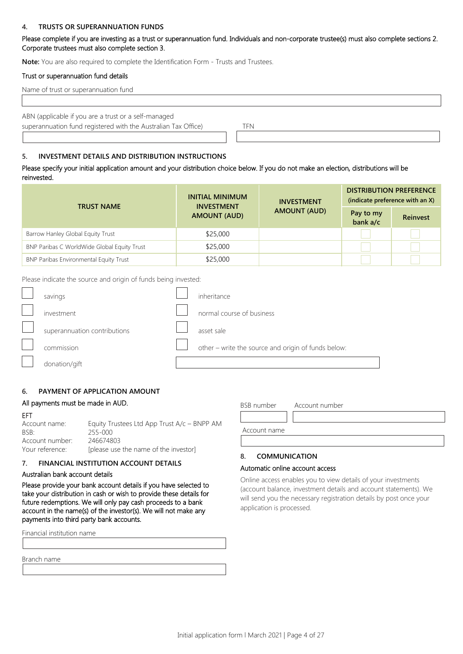#### **4. TRUSTS OR SUPERANNUATION FUNDS**

Please complete if you are investing as a trust or superannuation fund. Individuals and non-corporate trustee(s) must also complete sections 2. Corporate trustees must also complete section 3.

**Note:** You are also required to complete the Identification Form - Trusts and Trustees.

#### Trust or superannuation fund details

|  | Name of trust or superannuation fund |  |
|--|--------------------------------------|--|
|--|--------------------------------------|--|

ABN (applicable if you are a trust or a self-managed superannuation fund registered with the Australian Tax Office) TFN

#### **5. INVESTMENT DETAILS AND DISTRIBUTION INSTRUCTIONS**

Please specify your initial application amount and your distribution choice below. If you do not make an election, distributions will be reinvested.

| <b>TRUST NAME</b>                           | INITIAL MINIMUM<br><b>INVESTMENT</b><br><b>AMOUNT (AUD)</b> | <b>INVESTMENT</b><br><b>AMOUNT (AUD)</b> | <b>DISTRIBUTION PREFERENCE</b><br>(indicate preference with an X) |                 |
|---------------------------------------------|-------------------------------------------------------------|------------------------------------------|-------------------------------------------------------------------|-----------------|
|                                             |                                                             |                                          | Pay to my<br>bank a/c                                             | <b>Reinvest</b> |
| Barrow Hanley Global Equity Trust           | \$25,000                                                    |                                          |                                                                   |                 |
| BNP Paribas C WorldWide Global Equity Trust | \$25,000                                                    |                                          |                                                                   |                 |
| BNP Paribas Environmental Equity Trust      | \$25,000                                                    |                                          |                                                                   |                 |

Please indicate the source and origin of funds being invested:

| savings                      | inheritance                                         |
|------------------------------|-----------------------------------------------------|
| investment                   | normal course of business                           |
| superannuation contributions | asset sale                                          |
| commission                   | other - write the source and origin of funds below: |
| donation/gift                |                                                     |

#### **6. PAYMENT OF APPLICATION AMOUNT**

#### All payments must be made in AUD.

| ÷ | . . |
|---|-----|
|   |     |
|   |     |
|   |     |

Account name: Equity Trustees Ltd App Trust A/c – BNPP AM BSB: 255-000 Account number: 246674803 Your reference: [please use the name of the investor]

#### **7. FINANCIAL INSTITUTION ACCOUNT DETAILS**

#### Australian bank account details

Please provide your bank account details if you have selected to take your distribution in cash or wish to provide these details for future redemptions. We will only pay cash proceeds to a bank account in the name(s) of the investor(s). We will not make any payments into third party bank accounts.

| Financial institution name |  |
|----------------------------|--|
|                            |  |
| Branch name                |  |
|                            |  |

BSB number Account number Account name

## **8. COMMUNICATION**

### Automatic online account access

Online access enables you to view details of your investments (account balance, investment details and account statements). We will send you the necessary registration details by post once your application is processed.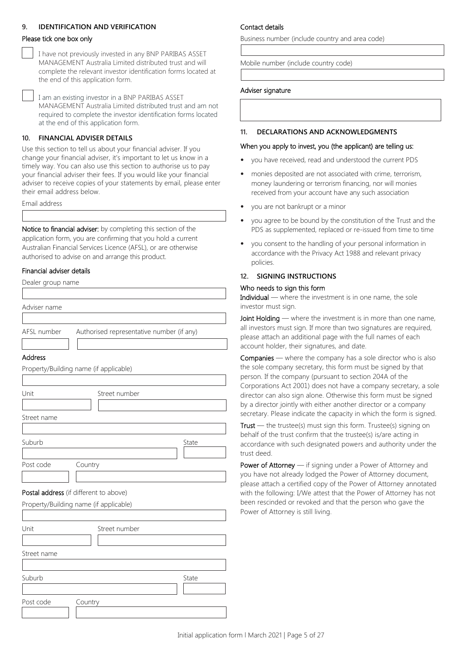### **9. IDENTIFICATION AND VERIFICATION**

### Please tick one box only

I have not previously invested in any BNP PARIBAS ASSET MANAGEMENT Australia Limited distributed trust and will complete the relevant investor identification forms located at the end of this application form.

I am an existing investor in a BNP PARIBAS ASSET MANAGEMENT Australia Limited distributed trust and am not required to complete the investor identification forms located at the end of this application form.

#### **10. FINANCIAL ADVISER DETAILS**

Use this section to tell us about your financial adviser. If you change your financial adviser, it's important to let us know in a timely way. You can also use this section to authorise us to pay your financial adviser their fees. If you would like your financial adviser to receive copies of your statements by email, please enter their email address below.

Email address

Notice to financial adviser: by completing this section of the application form, you are confirming that you hold a current Australian Financial Services Licence (AFSL), or are otherwise authorised to advise on and arrange this product.

#### Financial adviser details

| Dealer group name |                                           |
|-------------------|-------------------------------------------|
|                   |                                           |
| Adviser name      |                                           |
|                   |                                           |
| AFSL number       | Authorised representative number (if any) |
|                   |                                           |

#### Address

| Unit        | Street number |
|-------------|---------------|
| Street name |               |
|             |               |
| Suburb      | State         |
|             |               |
| Post code   | Country       |
|             |               |

## Postal address (if different to above) Property/Building name (if applicable)

Property/Building name (if applicable)

Unit Street number Street name Suburb State Suburb State State State State State State State State State State State State State State State State State State State State State State State State State State State State State State State State State Stat Post code Country

#### Contact details

Business number (include country and area code)

Mobile number (include country code)

#### Adviser signature

#### **11. DECLARATIONS AND ACKNOWLEDGMENTS**

#### When you apply to invest, you (the applicant) are telling us:

- you have received, read and understood the current PDS
- monies deposited are not associated with crime, terrorism, money laundering or terrorism financing, nor will monies received from your account have any such association
- you are not bankrupt or a minor
- you agree to be bound by the constitution of the Trust and the PDS as supplemented, replaced or re-issued from time to time
- you consent to the handling of your personal information in accordance with the Privacy Act 1988 and relevant privacy policies.

#### **12. SIGNING INSTRUCTIONS**

#### Who needs to sign this form

Individual — where the investment is in one name, the sole investor must sign.

Joint Holding — where the investment is in more than one name, all investors must sign. If more than two signatures are required, please attach an additional page with the full names of each account holder, their signatures, and date.

Companies — where the company has a sole director who is also the sole company secretary, this form must be signed by that person. If the company (pursuant to section 204A of the Corporations Act 2001) does not have a company secretary, a sole director can also sign alone. Otherwise this form must be signed by a director jointly with either another director or a company secretary. Please indicate the capacity in which the form is signed.

Trust — the trustee(s) must sign this form. Trustee(s) signing on behalf of the trust confirm that the trustee(s) is/are acting in accordance with such designated powers and authority under the trust deed.

Power of Attorney — if signing under a Power of Attorney and you have not already lodged the Power of Attorney document, please attach a certified copy of the Power of Attorney annotated with the following: I/We attest that the Power of Attorney has not been rescinded or revoked and that the person who gave the Power of Attorney is still living.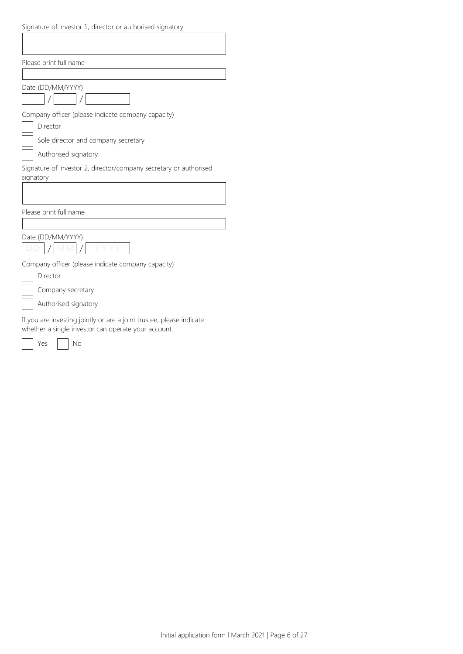| Signature of investor 1, director or authorised signatory                                                                   |
|-----------------------------------------------------------------------------------------------------------------------------|
|                                                                                                                             |
|                                                                                                                             |
| Please print full name                                                                                                      |
|                                                                                                                             |
| Date (DD/MM/YYYY)                                                                                                           |
|                                                                                                                             |
| Company officer (please indicate company capacity)                                                                          |
| Director                                                                                                                    |
| Sole director and company secretary                                                                                         |
| Authorised signatory                                                                                                        |
| Signature of investor 2, director/company secretary or authorised<br>signatory                                              |
|                                                                                                                             |
|                                                                                                                             |
| Please print full name                                                                                                      |
|                                                                                                                             |
| Date (DD/MM/YYYY)                                                                                                           |
|                                                                                                                             |
| Company officer (please indicate company capacity)                                                                          |
| Director                                                                                                                    |
| Company secretary                                                                                                           |
| Authorised signatory                                                                                                        |
| If you are investing jointly or are a joint trustee, please indicate<br>whether a single investor can operate your account. |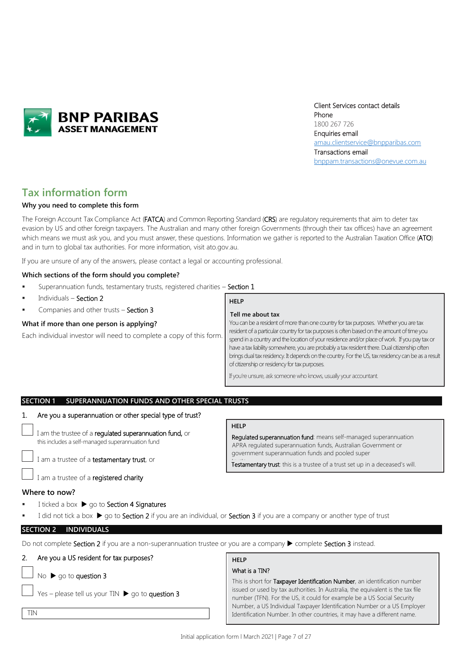

Client Services contact details Phone 1800 267 726 Enquiries email [amau.clientservice@bnpparibas.com](mailto:amau.clientservice@bnpparibas.com) Transactions email [bnppam.transactions@onevue.com.au](mailto:bnppam.transactions@onevue.com.au)

## **Tax information form**

#### **Why you need to complete this form**

The Foreign Account Tax Compliance Act (FATCA) and Common Reporting Standard (CRS) are regulatory requirements that aim to deter tax evasion by US and other foreign taxpayers. The Australian and many other foreign Governments (through their tax offices) have an agreement which means we must ask you, and you must answer, these questions. Information we gather is reported to the Australian Taxation Office (ATO) and in turn to global tax authorities. For more information, visi[t ato.gov.au.](http://www.ato.gov.au/)

If you are unsure of any of the answers, please contact a legal or accounting professional.

#### **Which sections of the form should you complete?**

- Superannuation funds, testamentary trusts, registered charities Section 1
- Individuals Section 2
- Companies and other trusts Section 3

#### **What if more than one person is applying?**

Each individual investor will need to complete a copy of this form.

## **HELP**

#### **Tell me about tax**

You can be a resident of more than one country for tax purposes. Whether you are tax resident of a particular country for tax purposes is often based on the amount of time you spend in a country and the location of your residence and/or place of work. If you pay tax or have a tax liability somewhere, you are probably a tax resident there. Dual citizenship often brings dual tax residency. It depends on the country. For the US, tax residency can be as a result of citizenship or residency for tax purposes.

If you're unsure, ask someone who knows, usually your accountant.

| SECTION 1 SUPERANNUATION FUNDS AND OTHER SPECIAL TRUSTS |
|---------------------------------------------------------|
|                                                         |

#### 1. Are you a superannuation or other special type of trust?

I am the trustee of a regulated superannuation fund, or this includes a self-managed superannuation fund

I am a trustee of a testamentary trust, or

I am a trustee of a registered charity

#### **Where to now?**

TIN

I ticked a box  $\triangleright$  go to Section 4 Signatures

#### **HELP**

Regulated superannuation fund: means self-managed superannuation APRA regulated superannuation funds, Australian Government or government superannuation funds and pooled super

Testamentary trust: this is a trustee of a trust set up in a deceased's will.

I did not tick a box  $\blacktriangleright$  go to Section 2 if you are an individual, or Section 3 if you are a company or another type of trust

#### **SECTION 2 INDIVIDUALS**

Do not complete Section 2 if you are a non-superannuation trustee or you are a company  $\blacktriangleright$  complete Section 3 instead.

## 2. Are you a US resident for tax purposes?

 $No \triangleright qo$  to question 3

Yes – please tell us your TIN  $\triangleright$  go to question 3

#### **HELP** What is a TIN?

This is short for Taxpayer Identification Number, an identification number issued or used by tax authorities. In Australia, the equivalent is the tax file number (TFN). For the US, it could for example be a US Social Security Number, a US Individual Taxpayer Identification Number or a US Employer Identification Number. In other countries, it may have a different name.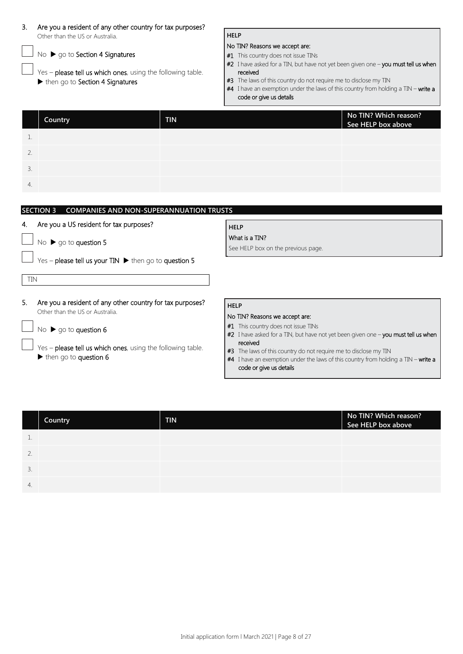| 3.             | Are you a resident of any other country for tax purposes?<br>Other than the US or Australia.<br>No > go to Section 4 Signatures<br>Yes - please tell us which ones, using the following table.<br>then go to Section 4 Signatures |            | <b>HELP</b><br>No TIN? Reasons we accept are:<br>#1 This country does not issue TINs<br>#2 I have asked for a TIN, but have not yet been given one - you must tell us when<br>received<br>#3 The laws of this country do not require me to disclose my TIN |  |
|----------------|-----------------------------------------------------------------------------------------------------------------------------------------------------------------------------------------------------------------------------------|------------|------------------------------------------------------------------------------------------------------------------------------------------------------------------------------------------------------------------------------------------------------------|--|
|                | Country                                                                                                                                                                                                                           | <b>TIN</b> | #4 I have an exemption under the laws of this country from holding a TIN - write a<br>code or give us details<br>No TIN? Which reason?<br>See HELP box above                                                                                               |  |
| 1.<br>2.<br>3. |                                                                                                                                                                                                                                   |            |                                                                                                                                                                                                                                                            |  |
| 4.             | <b>SECTION 3</b><br><b>COMPANIES AND NON-SUPERANNUATION TRUSTS</b>                                                                                                                                                                |            |                                                                                                                                                                                                                                                            |  |
|                | Are you a US resident for tax purposes?<br>No > go to question 5                                                                                                                                                                  |            | <b>HELP</b><br>What is a TIN?<br>See HELP box on the previous page.                                                                                                                                                                                        |  |
| <b>TIN</b>     | Yes - please tell us your $TIN$ $\blacktriangleright$ then go to question 5                                                                                                                                                       |            |                                                                                                                                                                                                                                                            |  |
| 5.             | Are you a resident of any other country for tax purposes?<br>Other than the US or Australia.<br>No $\triangleright$ go to question 6                                                                                              |            | <b>HELP</b><br>No TIN? Reasons we accept are:<br>#1 This country does not issue TINs<br>#2 I have asked for a TIN, but have not yet been given one - you must tell us when                                                                                 |  |
|                | Yes - please tell us which ones, using the following table.<br>$\blacktriangleright$ then go to question 6                                                                                                                        |            | received<br>#3 The laws of this country do not require me to disclose my TIN<br>#4 I have an exemption under the laws of this country from holding a TIN - write a<br>code or give us details                                                              |  |

|                     | Country | <b>TIN</b> | No TIN? Which reason?<br>See HELP box above |
|---------------------|---------|------------|---------------------------------------------|
|                     |         |            |                                             |
| $\mathcal{D}$<br>Ζ. |         |            |                                             |
| 3.                  |         |            |                                             |
| 4.                  |         |            |                                             |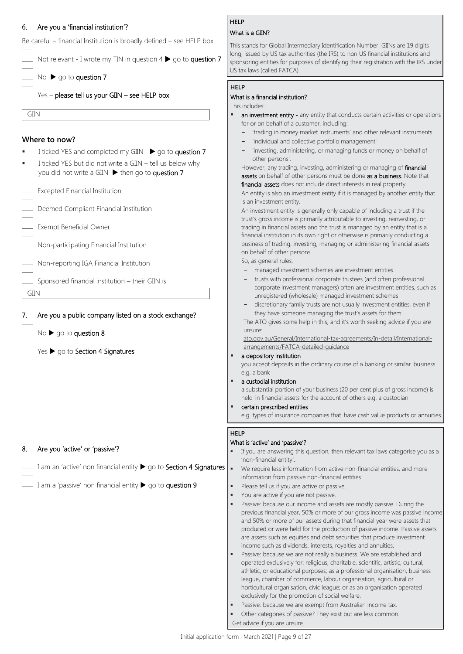### 6. Are you a 'financial institution'?

Be careful – financial Institution is broadly defined – see HELP box

Not relevant - I wrote my TIN in question  $4 \triangleright$  go to question 7

No  $\triangleright$  go to question 7

Yes - please tell us your GIIN - see HELP box

GIIN

GIIN

## **Where to now?**

- I ticked YES and completed my GIIN  $\triangleright$  go to question 7
- I ticked YES but did not write a GIIN tell us below why you did not write a GIIN  $\blacktriangleright$  then go to question 7

Excepted Financial Institution

Deemed Compliant Financial Institution

Exempt Beneficial Owner

Non-participating Financial Institution

Non-reporting IGA Financial Institution

Sponsored financial institution – their GIIN is

7. Are you a public company listed on a stock exchange?

 $No \triangleright go$  to question 8

Yes  $\blacktriangleright$  go to Section 4 Signatures

#### 8. Are you 'active' or 'passive'?

I am an 'active' non financial entity  $\blacktriangleright$  go to Section 4 Signatures

I am a 'passive' non financial entity  $\blacktriangleright$  go to question 9

## **HELP**

## What is a GIIN?

This stands for Global Intermediary Identification Number. GIINs are 19 digits long, issued by US tax authorities (the IRS) to non US financial institutions and sponsoring entities for purposes of identifying their registration with the IRS under US tax laws (called FATCA).

#### **HELP**

### What is a financial institution?

This includes: an investment entity - any entity that conducts certain activities or operations for or on behalf of a customer, including:

- **-** 'trading in money market instruments' and other relevant instruments
- **-** 'individual and collective portfolio management'
- **-** 'investing, administering, or managing funds or money on behalf of other persons'.

However, any trading, investing, administering or managing of financial assets on behalf of other persons must be done as a business. Note that financial assets does not include direct interests in real property.

An entity is also an investment entity if it is managed by another entity that is an investment entity.

An investment entity is generally only capable of including a trust if the trust's gross income is primarily attributable to investing, reinvesting, or trading in financial assets and the trust is managed by an entity that is a financial institution in its own right or otherwise is primarily conducting a business of trading, investing, managing or administering financial assets on behalf of other persons.

So, as general rules:

- **-** managed investment schemes are investment entities
- **-** trusts with professional corporate trustees (and often professional corporate investment managers) often are investment entities, such as unregistered (wholesale) managed investment schemes
- **-** discretionary family trusts are not usually investment entities, even if they have someone managing the trust's assets for them.

The ATO gives some help in this, and it's worth seeking advice if you are unsure:

ato.gov.au/General/International-tax-agreements/In-detail/Internationalarrangements/FATCA-detailed-guidance

#### a depository institution

you accept deposits in the ordinary course of a banking or similar business e.g. a bank

a custodial institution

a substantial portion of your business (20 per cent plus of gross income) is held in financial assets for the account of others e.g. a custodian

#### certain prescribed entities

e.g. types of insurance companies that have cash value products or annuities.

#### **HELP**

#### What is 'active' and 'passive'?

- If you are answering this question, then relevant tax laws categorise you as a 'non-financial entity'.
- We require less information from active non-financial entities, and more information from passive non-financial entities.
- Please tell us if you are active or passive.
- You are active if you are not passive.
- Passive: because our income and assets are mostly passive. During the previous financial year, 50% or more of our gross income was passive income and 50% or more of our assets during that financial year were assets that produced or were held for the production of passive income. Passive assets are assets such as equities and debt securities that produce investment income such as dividends, interests, royalties and annuities.
- Passive: because we are not really a business. We are established and operated exclusively for: religious, charitable, scientific, artistic, cultural, athletic, or educational purposes; as a professional organisation, business league, chamber of commerce, labour organisation, agricultural or horticultural organisation, civic league; or as an organisation operated exclusively for the promotion of social welfare.
- Passive: because we are exempt from Australian income tax.
- Other categories of passive? They exist but are less common. Get advice if you are unsure.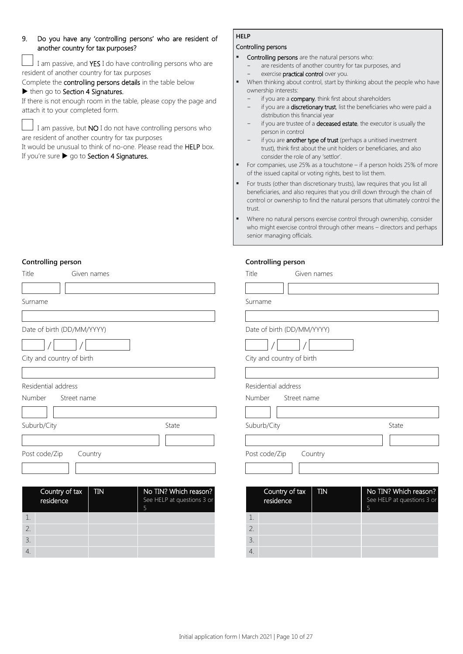## 9. Do you have any 'controlling persons' who are resident of another country for tax purposes?

I am passive, and YES I do have controlling persons who are resident of another country for tax purposes

Complete the controlling persons details in the table below

## $\blacktriangleright$  then go to Section 4 Signatures.

If there is not enough room in the table, please copy the page and attach it to your completed form.

I am passive, but **NO** I do not have controlling persons who are resident of another country for tax purposes

It would be unusual to think of no-one. Please read the HELP box.

If you're sure  $\blacktriangleright$  go to Section 4 Signatures.

## **HELP**

## Controlling persons

- **Controlling persons** are the natural persons who:
	- are residents of another country for tax purposes, and exercise **practical control** over you.
- When thinking about control, start by thinking about the people who have ownership interests:
	- if you are a **company**, think first about shareholders
	- if you are a **discretionary trust**, list the beneficiaries who were paid a distribution this financial year
	- if you are trustee of a deceased estate, the executor is usually the person in control
	- if you are **another type of trust** (perhaps a unitised investment trust), think first about the unit holders or beneficiaries, and also consider the role of any 'settlor'.
- For companies, use 25% as a touchstone if a person holds 25% of more of the issued capital or voting rights, best to list them.
- For trusts (other than discretionary trusts), law requires that you list all beneficiaries, and also requires that you drill down through the chain of control or ownership to find the natural persons that ultimately control the trust.
- Where no natural persons exercise control through ownership, consider who might exercise control through other means – directors and perhaps senior managing officials.

#### **Controlling person**

| Controlling person           |                                 | Controlling person           |                            |
|------------------------------|---------------------------------|------------------------------|----------------------------|
| Title<br>Given names         |                                 | Title<br>Given names         |                            |
| Surname                      |                                 | Surname                      |                            |
|                              |                                 |                              |                            |
| Date of birth (DD/MM/YYYY)   |                                 | Date of birth (DD/MM/YYYY)   |                            |
|                              |                                 |                              |                            |
| City and country of birth    |                                 | City and country of birth    |                            |
|                              |                                 |                              |                            |
| Residential address          |                                 | Residential address          |                            |
| Number<br>Street name        |                                 | Number<br>Street name        |                            |
|                              |                                 |                              |                            |
| Suburb/City                  | State                           | Suburb/City                  | State                      |
|                              |                                 |                              |                            |
| Post code/Zip<br>Country     |                                 | Post code/Zip<br>Country     |                            |
|                              |                                 |                              |                            |
| Country of tax<br><b>TIN</b> | No TIN? Which reason?           | Country of tax<br><b>TIN</b> | No TIN? Which reason?      |
| residence                    | See HELP at questions 3 or<br>5 | residence                    | See HELP at questions 3 or |
| 1.                           |                                 | 1.                           |                            |
| 2.                           |                                 | 2.                           |                            |
| 3.                           |                                 | 3.                           |                            |
| 4.                           |                                 | 4.                           |                            |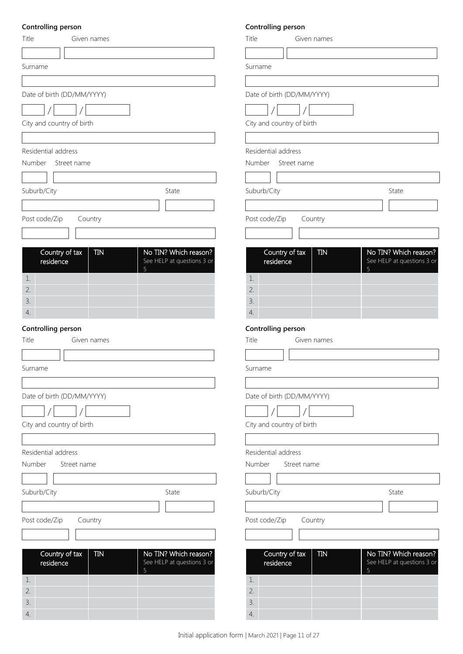## **Controlling person**

| Title<br>Given names         |                                 | Title          |
|------------------------------|---------------------------------|----------------|
|                              |                                 |                |
| Surname                      |                                 | Surname        |
|                              |                                 |                |
| Date of birth (DD/MM/YYYY)   |                                 | Date of birth  |
|                              |                                 |                |
| City and country of birth    |                                 | City and cour  |
|                              |                                 |                |
| Residential address          |                                 | Residential ad |
| Number<br>Street name        |                                 | Number<br>St   |
|                              |                                 |                |
| Suburb/City                  | State                           | Suburb/City    |
|                              |                                 |                |
| Post code/Zip<br>Country     |                                 | Post code/Zip  |
|                              |                                 |                |
| Country of tax<br><b>TIN</b> | No TIN? Which reason?           | Countr         |
| residence                    | See HELP at questions 3 or      | resider        |
| 1.                           | 5                               | 1.             |
| 2.                           |                                 | 2.             |
| 3.                           |                                 | 3.             |
| 4.                           |                                 | 4.             |
| Controlling person           |                                 | Controlling    |
| Title<br>Given names         |                                 | Title          |
|                              |                                 |                |
| Surname                      |                                 | Surname        |
|                              |                                 |                |
| Date of birth (DD/MM/YYYY)   |                                 | Date of birth  |
|                              |                                 |                |
| City and country of birth    |                                 | City and cour  |
|                              |                                 |                |
| Residential address          |                                 | Residential ad |
| Number<br>Street name        |                                 | Number         |
|                              |                                 |                |
| Suburb/City                  | State                           | Suburb/City    |
|                              |                                 |                |
| Post code/Zip<br>Country     |                                 | Post code/Zip  |
|                              |                                 |                |
| Country of tax<br><b>TIN</b> | No TIN? Which reason?           | Countr         |
| residence                    | See HELP at questions 3 or<br>5 | resider        |
| 1.                           |                                 | 1.             |
| 2.                           |                                 | 2.             |
| 3.                           |                                 | 3.             |
| 4.                           |                                 | 4.             |

## **Controlling person**

| Title<br>Given names                      |                                                          |
|-------------------------------------------|----------------------------------------------------------|
|                                           |                                                          |
| Surname                                   |                                                          |
|                                           |                                                          |
| Date of birth (DD/MM/YYYY)                |                                                          |
|                                           |                                                          |
| City and country of birth                 |                                                          |
|                                           |                                                          |
| Residential address                       |                                                          |
| Number<br>Street name                     |                                                          |
|                                           |                                                          |
| Suburb/City                               | State                                                    |
|                                           |                                                          |
|                                           |                                                          |
| Post code/Zip<br>Country                  |                                                          |
|                                           |                                                          |
| Country of tax<br><b>TIN</b>              | No TIN? Which reason?                                    |
| residence                                 | See HELP at questions 3 or<br>5                          |
| 1.                                        |                                                          |
| 2.                                        |                                                          |
| 3.                                        |                                                          |
| 4.                                        |                                                          |
| Controlling person                        |                                                          |
| Title<br>Given names                      |                                                          |
|                                           |                                                          |
| Surname                                   |                                                          |
|                                           |                                                          |
| Date of birth (DD/MM/YYYY)                |                                                          |
|                                           |                                                          |
| City and country of birth                 |                                                          |
|                                           |                                                          |
| Residential address                       |                                                          |
| Number<br>Street name                     |                                                          |
|                                           |                                                          |
| Suburb/City                               | State                                                    |
|                                           |                                                          |
| Post code/Zip<br>Country                  |                                                          |
|                                           |                                                          |
|                                           |                                                          |
| Country of tax<br><b>TIN</b><br>residence | No TIN? Which reason?<br>See HELP at questions 3 or<br>5 |
| 1.                                        |                                                          |
| 2.                                        |                                                          |
| 3.                                        |                                                          |
| 4.                                        |                                                          |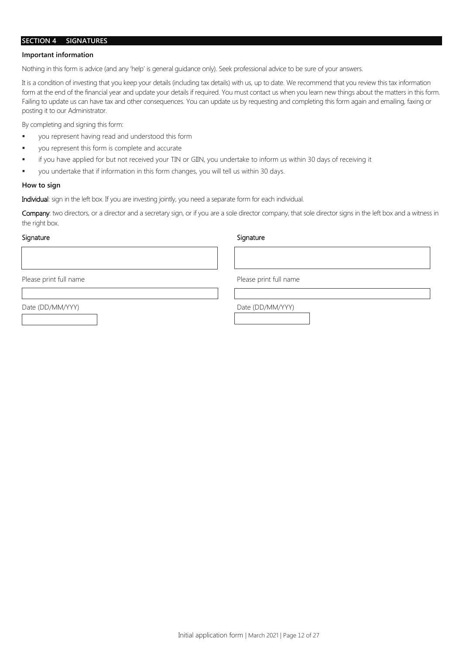#### **SECTION 4 SIGNATURES**

#### **Important information**

Nothing in this form is advice (and any 'help' is general guidance only). Seek professional advice to be sure of your answers.

It is a condition of investing that you keep your details (including tax details) with us, up to date. We recommend that you review this tax information form at the end of the financial year and update your details if required. You must contact us when you learn new things about the matters in this form. Failing to update us can have tax and other consequences. You can update us by requesting and completing this form again and emailing, faxing or posting it to our Administrator.

By completing and signing this form:

- you represent having read and understood this form
- you represent this form is complete and accurate
- if you have applied for but not received your TIN or GIIN, you undertake to inform us within 30 days of receiving it
- you undertake that if information in this form changes, you will tell us within 30 days.

#### **How to sign**

Individual: sign in the left box. If you are investing jointly, you need a separate form for each individual.

Company: two directors, or a director and a secretary sign, or if you are a sole director company, that sole director signs in the left box and a witness in the right box.

#### Signature Signature Signature Signature Signature Signature Signature Signature Signature Signature Signature Signature Signature Signature Signature Signature Signature Signature Signature Signature Signature Signature Si

Please print full name Please print full name

Date (DD/MM/YYY) Date (DD/MM/YYY)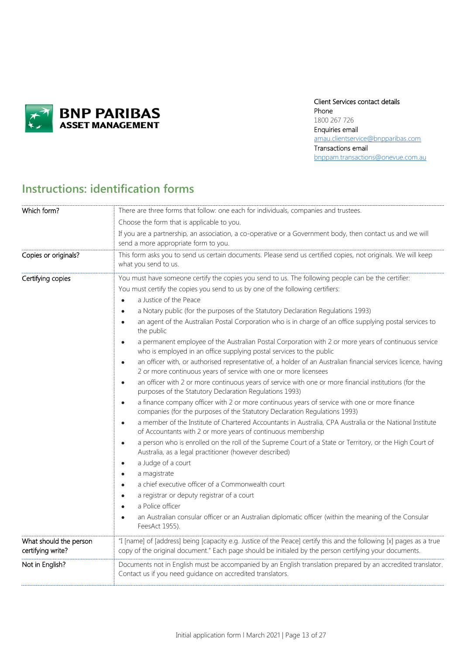

## Client Services contact details

Phone 1800 267 726 Enquiries email [amau.clientservice@bnpparibas.com](mailto:amau.clientservice@bnpparibas.com) Transactions email [bnppam.transactions@onevue.com.au](mailto:bnppam.transactions@onevue.com.au)

## **Instructions: identification forms**

| Which form?                                 | There are three forms that follow: one each for individuals, companies and trustees.                                                                                                                                                                                                                                                                                                                                                                                                                                                                                                                                                                                                                                                                                                                                                                                                                                                                                                                                                                                                                                                                                                                                                                                                                                                                                                                                                                                                                                                                                                                                                                                                                                                                                                                                                                                                                                                                                                         |
|---------------------------------------------|----------------------------------------------------------------------------------------------------------------------------------------------------------------------------------------------------------------------------------------------------------------------------------------------------------------------------------------------------------------------------------------------------------------------------------------------------------------------------------------------------------------------------------------------------------------------------------------------------------------------------------------------------------------------------------------------------------------------------------------------------------------------------------------------------------------------------------------------------------------------------------------------------------------------------------------------------------------------------------------------------------------------------------------------------------------------------------------------------------------------------------------------------------------------------------------------------------------------------------------------------------------------------------------------------------------------------------------------------------------------------------------------------------------------------------------------------------------------------------------------------------------------------------------------------------------------------------------------------------------------------------------------------------------------------------------------------------------------------------------------------------------------------------------------------------------------------------------------------------------------------------------------------------------------------------------------------------------------------------------------|
|                                             | Choose the form that is applicable to you.                                                                                                                                                                                                                                                                                                                                                                                                                                                                                                                                                                                                                                                                                                                                                                                                                                                                                                                                                                                                                                                                                                                                                                                                                                                                                                                                                                                                                                                                                                                                                                                                                                                                                                                                                                                                                                                                                                                                                   |
|                                             | If you are a partnership, an association, a co-operative or a Government body, then contact us and we will<br>send a more appropriate form to you.                                                                                                                                                                                                                                                                                                                                                                                                                                                                                                                                                                                                                                                                                                                                                                                                                                                                                                                                                                                                                                                                                                                                                                                                                                                                                                                                                                                                                                                                                                                                                                                                                                                                                                                                                                                                                                           |
| Copies or originals?                        | This form asks you to send us certain documents. Please send us certified copies, not originals. We will keep<br>what you send to us.                                                                                                                                                                                                                                                                                                                                                                                                                                                                                                                                                                                                                                                                                                                                                                                                                                                                                                                                                                                                                                                                                                                                                                                                                                                                                                                                                                                                                                                                                                                                                                                                                                                                                                                                                                                                                                                        |
| Certifying copies                           | You must have someone certify the copies you send to us. The following people can be the certifier:<br>You must certify the copies you send to us by one of the following certifiers:<br>a Justice of the Peace<br>$\bullet$<br>a Notary public (for the purposes of the Statutory Declaration Regulations 1993)<br>٠<br>an agent of the Australian Postal Corporation who is in charge of an office supplying postal services to<br>$\bullet$<br>the public<br>a permanent employee of the Australian Postal Corporation with 2 or more years of continuous service<br>$\bullet$<br>who is employed in an office supplying postal services to the public<br>an officer with, or authorised representative of, a holder of an Australian financial services licence, having<br>$\bullet$<br>2 or more continuous years of service with one or more licensees<br>an officer with 2 or more continuous years of service with one or more financial institutions (for the<br>$\bullet$<br>purposes of the Statutory Declaration Regulations 1993)<br>a finance company officer with 2 or more continuous years of service with one or more finance<br>$\bullet$<br>companies (for the purposes of the Statutory Declaration Regulations 1993)<br>a member of the Institute of Chartered Accountants in Australia, CPA Australia or the National Institute<br>$\bullet$<br>of Accountants with 2 or more years of continuous membership<br>a person who is enrolled on the roll of the Supreme Court of a State or Territory, or the High Court of<br>$\bullet$<br>Australia, as a legal practitioner (however described)<br>a Judge of a court<br>$\bullet$<br>a magistrate<br>$\bullet$<br>a chief executive officer of a Commonwealth court<br>$\bullet$<br>a registrar or deputy registrar of a court<br>$\bullet$<br>a Police officer<br>$\bullet$<br>an Australian consular officer or an Australian diplomatic officer (within the meaning of the Consular<br>$\bullet$<br>FeesAct 1955). |
| What should the person<br>certifying write? | "I [name] of [address] being [capacity e.g. Justice of the Peace] certify this and the following [x] pages as a true<br>copy of the original document." Each page should be initialed by the person certifying your documents.                                                                                                                                                                                                                                                                                                                                                                                                                                                                                                                                                                                                                                                                                                                                                                                                                                                                                                                                                                                                                                                                                                                                                                                                                                                                                                                                                                                                                                                                                                                                                                                                                                                                                                                                                               |
| Not in English?                             | Documents not in English must be accompanied by an English translation prepared by an accredited translator.<br>Contact us if you need guidance on accredited translators.                                                                                                                                                                                                                                                                                                                                                                                                                                                                                                                                                                                                                                                                                                                                                                                                                                                                                                                                                                                                                                                                                                                                                                                                                                                                                                                                                                                                                                                                                                                                                                                                                                                                                                                                                                                                                   |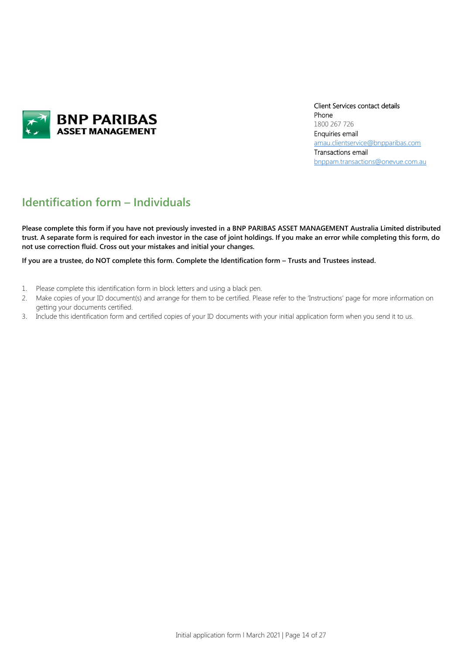

Client Services contact details Phone 1800 267 726 Enquiries email [amau.clientservice@bnpparibas.com](mailto:amau.clientservice@bnpparibas.com) Transactions email [bnppam.transactions@onevue.com.au](mailto:bnppam.transactions@onevue.com.au)

## **Identification form – Individuals**

**Please complete this form if you have not previously invested in a BNP PARIBAS ASSET MANAGEMENT Australia Limited distributed trust. A separate form is required for each investor in the case of joint holdings. If you make an error while completing this form, do not use correction fluid. Cross out your mistakes and initial your changes.**

**If you are a trustee, do NOT complete this form. Complete the Identification form – Trusts and Trustees instead.**

- 1. Please complete this identification form in block letters and using a black pen.
- 2. Make copies of your ID document(s) and arrange for them to be certified. Please refer to the 'Instructions' page for more information on getting your documents certified.
- 3. Include this identification form and certified copies of your ID documents with your initial application form when you send it to us.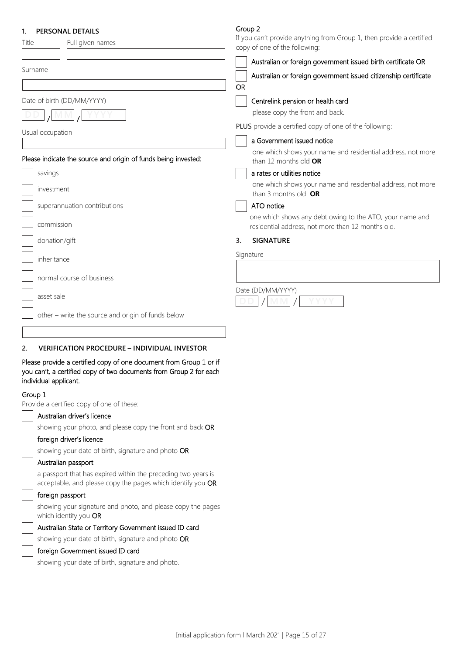## **1. PERSONAL DETAILS**

| н.<br>Η<br>г |  |
|--------------|--|
|--------------|--|

| <b>FENJUINAL DETAILJ</b><br>Title<br>Full given names                                                        | If you can't provide anything from Group 1, then provide a certified<br>copy of one of the following:                                                                                                                |  |  |
|--------------------------------------------------------------------------------------------------------------|----------------------------------------------------------------------------------------------------------------------------------------------------------------------------------------------------------------------|--|--|
| Surname                                                                                                      | Australian or foreign government issued birth certificate OR<br>Australian or foreign government issued citizenship certificate<br>OR                                                                                |  |  |
| Date of birth (DD/MM/YYYY)<br>Usual occupation                                                               | Centrelink pension or health card<br>please copy the front and back.<br>PLUS provide a certified copy of one of the following:<br>a Government issued notice                                                         |  |  |
| Please indicate the source and origin of funds being invested:<br>savings                                    | one which shows your name and residential address, not more<br>than 12 months old OR<br>a rates or utilities notice                                                                                                  |  |  |
| investment<br>superannuation contributions<br>commission                                                     | one which shows your name and residential address, not more<br>than 3 months old $OR$<br>ATO notice<br>one which shows any debt owing to the ATO, your name and<br>residential address, not more than 12 months old. |  |  |
| donation/gift                                                                                                | <b>SIGNATURE</b><br>3.<br>Signature                                                                                                                                                                                  |  |  |
| inheritance<br>normal course of business<br>asset sale<br>other - write the source and origin of funds below | Date (DD/MM/YYYY)                                                                                                                                                                                                    |  |  |
| <b>VERIFICATION PROCEDURE - INDIVIDUAL INVESTOR</b><br>2.                                                    |                                                                                                                                                                                                                      |  |  |

Please provide a certified copy of one document from Group 1 or if you can't, a certified copy of two documents from Group 2 for each individual applicant.

## Group 1

Provide a certified copy of one of these:

| Australian driver's licence                                                                                                  |
|------------------------------------------------------------------------------------------------------------------------------|
| showing your photo, and please copy the front and back OR                                                                    |
| foreign driver's licence                                                                                                     |
| showing your date of birth, signature and photo OR                                                                           |
| Australian passport                                                                                                          |
| a passport that has expired within the preceding two years is<br>acceptable, and please copy the pages which identify you OR |
|                                                                                                                              |
| foreign passport                                                                                                             |
| showing your signature and photo, and please copy the pages<br>which identify you <b>OR</b>                                  |
| Australian State or Territory Government issued ID card                                                                      |
| showing your date of birth, signature and photo OR                                                                           |
| foreign Government issued ID card                                                                                            |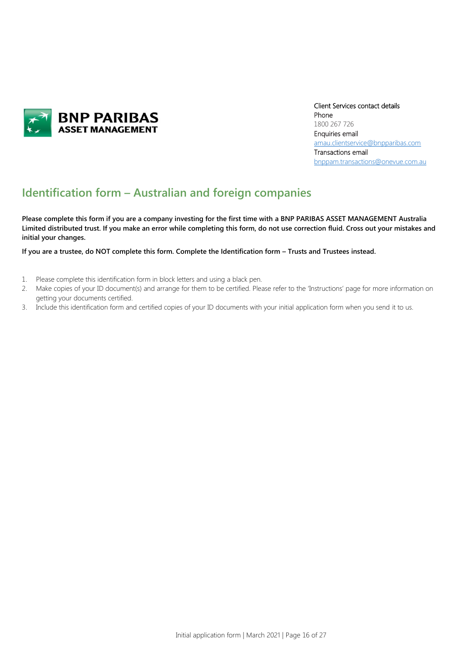

Client Services contact details Phone 1800 267 726 Enquiries email [amau.clientservice@bnpparibas.com](mailto:amau.clientservice@bnpparibas.com) Transactions email [bnppam.transactions@onevue.com.au](mailto:bnppam.transactions@onevue.com.au)

## **Identification form – Australian and foreign companies**

**Please complete this form if you are a company investing for the first time with a BNP PARIBAS ASSET MANAGEMENT Australia Limited distributed trust. If you make an error while completing this form, do not use correction fluid. Cross out your mistakes and initial your changes.**

### **If you are a trustee, do NOT complete this form. Complete the Identification form – Trusts and Trustees instead.**

- 1. Please complete this identification form in block letters and using a black pen.
- 2. Make copies of your ID document(s) and arrange for them to be certified. Please refer to the 'Instructions' page for more information on getting your documents certified.
- 3. Include this identification form and certified copies of your ID documents with your initial application form when you send it to us.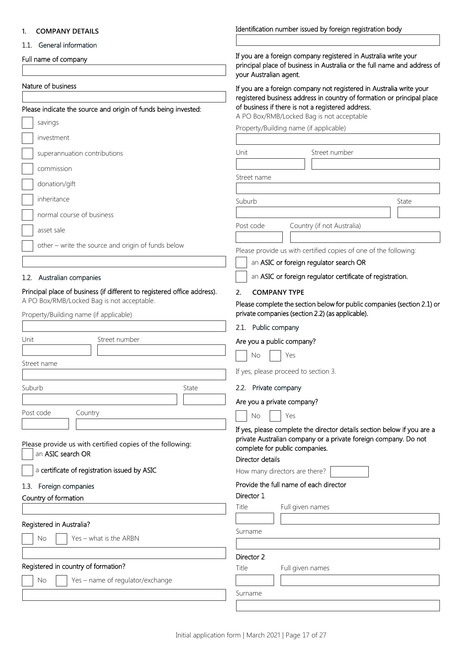| <b>COMPANY DETAILS</b>                                                   | Identification number issued by foreign registration body                                                                                                             |
|--------------------------------------------------------------------------|-----------------------------------------------------------------------------------------------------------------------------------------------------------------------|
| 1.1. General information                                                 |                                                                                                                                                                       |
| Full name of company                                                     | If you are a foreign company registered in Australia write your<br>principal place of business in Australia or the full name and address of<br>your Australian agent. |
| Nature of business                                                       | If you are a foreign company not registered in Australia write your                                                                                                   |
|                                                                          | registered business address in country of formation or principal place<br>of business if there is not a registered address.                                           |
| Please indicate the source and origin of funds being invested:           | A PO Box/RMB/Locked Bag is not acceptable                                                                                                                             |
| savings                                                                  | Property/Building name (if applicable)                                                                                                                                |
| investment                                                               |                                                                                                                                                                       |
| superannuation contributions                                             | Street number<br>Unit                                                                                                                                                 |
| commission                                                               |                                                                                                                                                                       |
| donation/gift                                                            | Street name                                                                                                                                                           |
| inheritance                                                              | Suburb<br>State                                                                                                                                                       |
| normal course of business                                                |                                                                                                                                                                       |
| asset sale                                                               | Country (if not Australia)<br>Post code                                                                                                                               |
|                                                                          |                                                                                                                                                                       |
| other - write the source and origin of funds below                       | Please provide us with certified copies of one of the following:                                                                                                      |
|                                                                          | an ASIC or foreign regulator search OR                                                                                                                                |
| 1.2. Australian companies                                                | an ASIC or foreign regulator certificate of registration.                                                                                                             |
| Principal place of business (if different to registered office address). | <b>COMPANY TYPE</b><br>2.                                                                                                                                             |
| A PO Box/RMB/Locked Bag is not acceptable.                               | Please complete the section below for public companies (section 2.1) or                                                                                               |
| Property/Building name (if applicable)                                   | private companies (section 2.2) (as applicable).                                                                                                                      |
|                                                                          | 2.1. Public company                                                                                                                                                   |
| Street number<br>Unit                                                    | Are you a public company?                                                                                                                                             |
| Street name                                                              | No<br>Yes                                                                                                                                                             |
|                                                                          | If yes, please proceed to section 3.                                                                                                                                  |
| Suburb<br>State                                                          | 2.2. Private company                                                                                                                                                  |
|                                                                          | Are you a private company?                                                                                                                                            |
| Post code<br>Country                                                     | No<br>Yes                                                                                                                                                             |
|                                                                          | If yes, please complete the director details section below if you are a                                                                                               |
| Please provide us with certified copies of the following:                | private Australian company or a private foreign company. Do not<br>complete for public companies.                                                                     |
| an ASIC search OR                                                        | Director details                                                                                                                                                      |
| a certificate of registration issued by ASIC                             | How many directors are there?                                                                                                                                         |
| Foreign companies<br>1.3.                                                | Provide the full name of each director                                                                                                                                |
| Country of formation                                                     | Director 1                                                                                                                                                            |
|                                                                          | Title<br>Full given names                                                                                                                                             |
| Registered in Australia?                                                 |                                                                                                                                                                       |
| Yes - what is the ARBN<br>No                                             | Surname                                                                                                                                                               |
|                                                                          | Director 2                                                                                                                                                            |
| Registered in country of formation?                                      | Title<br>Full given names                                                                                                                                             |

| registered in country or formation.               |
|---------------------------------------------------|
| $\Box$ No $\Box$ Yes – name of regulator/exchange |
|                                                   |

Surname

Identification number issued by foreign registration body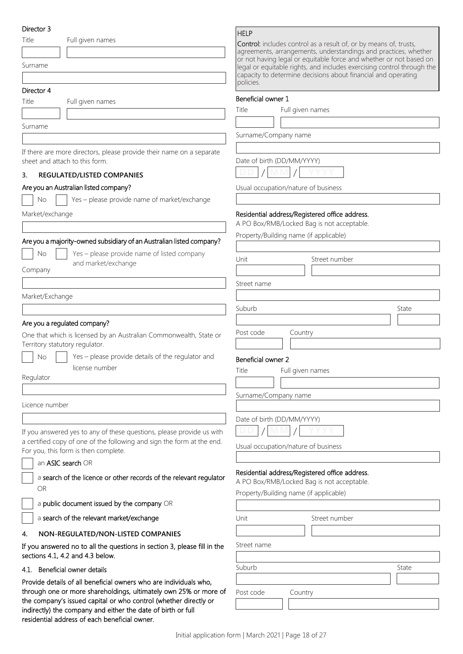#### Director 2

| Director p                                                                                                                       | <b>HELP</b>                                                                                                                           |
|----------------------------------------------------------------------------------------------------------------------------------|---------------------------------------------------------------------------------------------------------------------------------------|
| Title<br>Full given names                                                                                                        | <b>Control:</b> includes control as a result of, or by means of, trusts,                                                              |
|                                                                                                                                  | agreements, arrangements, understandings and practices, whether<br>or not having legal or equitable force and whether or not based on |
| Surname                                                                                                                          | legal or equitable rights, and includes exercising control through the                                                                |
|                                                                                                                                  | capacity to determine decisions about financial and operating<br>policies.                                                            |
| Director 4                                                                                                                       |                                                                                                                                       |
| Title<br>Full given names                                                                                                        | Beneficial owner 1                                                                                                                    |
|                                                                                                                                  | Title<br>Full given names                                                                                                             |
| Surname                                                                                                                          |                                                                                                                                       |
|                                                                                                                                  | Surname/Company name                                                                                                                  |
|                                                                                                                                  |                                                                                                                                       |
| If there are more directors, please provide their name on a separate<br>sheet and attach to this form.                           | Date of birth (DD/MM/YYYY)                                                                                                            |
|                                                                                                                                  |                                                                                                                                       |
| 3.<br>REGULATED/LISTED COMPANIES                                                                                                 |                                                                                                                                       |
| Are you an Australian listed company?                                                                                            | Usual occupation/nature of business                                                                                                   |
| Yes - please provide name of market/exchange<br>No                                                                               |                                                                                                                                       |
| Market/exchange                                                                                                                  | Residential address/Registered office address.                                                                                        |
|                                                                                                                                  | A PO Box/RMB/Locked Bag is not acceptable.                                                                                            |
| Are you a majority-owned subsidiary of an Australian listed company?                                                             | Property/Building name (if applicable)                                                                                                |
|                                                                                                                                  |                                                                                                                                       |
| No<br>Yes - please provide name of listed company<br>and market/exchange                                                         | Unit<br>Street number                                                                                                                 |
| Company                                                                                                                          |                                                                                                                                       |
|                                                                                                                                  | Street name                                                                                                                           |
| Market/Exchange                                                                                                                  |                                                                                                                                       |
|                                                                                                                                  | Suburb<br>State                                                                                                                       |
|                                                                                                                                  |                                                                                                                                       |
| Are you a regulated company?                                                                                                     | Post code                                                                                                                             |
| One that which is licensed by an Australian Commonwealth, State or<br>Territory statutory regulator.                             | Country                                                                                                                               |
| Yes - please provide details of the regulator and<br>No                                                                          |                                                                                                                                       |
| license number                                                                                                                   | Beneficial owner 2                                                                                                                    |
| Regulator                                                                                                                        | Title<br>Full given names                                                                                                             |
|                                                                                                                                  |                                                                                                                                       |
| Licence number                                                                                                                   | Surname/Company name                                                                                                                  |
|                                                                                                                                  |                                                                                                                                       |
|                                                                                                                                  | Date of birth (DD/MM/YYYY)                                                                                                            |
| If you answered yes to any of these questions, please provide us with                                                            |                                                                                                                                       |
| a certified copy of one of the following and sign the form at the end.<br>For you, this form is then complete.                   | Usual occupation/nature of business                                                                                                   |
|                                                                                                                                  |                                                                                                                                       |
| an <b>ASIC</b> search OR                                                                                                         | Residential address/Registered office address.                                                                                        |
| a search of the licence or other records of the relevant regulator                                                               | A PO Box/RMB/Locked Bag is not acceptable.                                                                                            |
| <b>OR</b>                                                                                                                        | Property/Building name (if applicable)                                                                                                |
| a public document issued by the company OR                                                                                       |                                                                                                                                       |
| a search of the relevant market/exchange                                                                                         | Unit<br>Street number                                                                                                                 |
| 4.                                                                                                                               |                                                                                                                                       |
| NON-REGULATED/NON-LISTED COMPANIES<br>If you answered no to all the questions in section 3, please fill in the                   | Street name                                                                                                                           |
| sections 4.1, 4.2 and 4.3 below.                                                                                                 |                                                                                                                                       |
| 4.1. Beneficial owner details                                                                                                    | Suburb<br>State                                                                                                                       |
| Provide details of all beneficial owners who are individuals who,                                                                |                                                                                                                                       |
| through one or more shareholdings, ultimately own 25% or more of                                                                 | Post code<br>Country                                                                                                                  |
| the company's issued capital or who control (whether directly or<br>indirectly) the company and either the date of birth or full |                                                                                                                                       |

indirectly) the company and either the date of birth or full

residential address of each beneficial owner.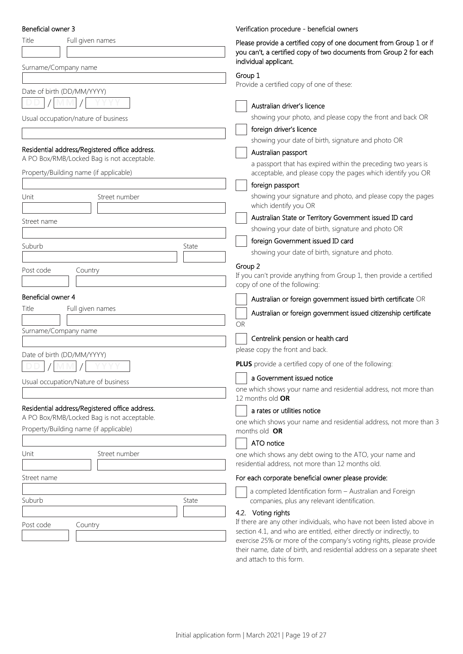| Beneficial owner 3                                                                           | Verification procedure - beneficial owners                                                                                                  |
|----------------------------------------------------------------------------------------------|---------------------------------------------------------------------------------------------------------------------------------------------|
| Title<br>Full given names                                                                    | Please provide a certified copy of one document from Group 1 or if<br>you can't, a certified copy of two documents from Group 2 for each    |
| Surname/Company name                                                                         | individual applicant.                                                                                                                       |
|                                                                                              | Group 1                                                                                                                                     |
| Date of birth (DD/MM/YYYY)                                                                   | Provide a certified copy of one of these:                                                                                                   |
|                                                                                              | Australian driver's licence                                                                                                                 |
| Usual occupation/nature of business                                                          | showing your photo, and please copy the front and back OR                                                                                   |
|                                                                                              | foreign driver's licence                                                                                                                    |
|                                                                                              | showing your date of birth, signature and photo OR                                                                                          |
| Residential address/Registered office address.                                               | Australian passport                                                                                                                         |
| A PO Box/RMB/Locked Bag is not acceptable.                                                   | a passport that has expired within the preceding two years is                                                                               |
| Property/Building name (if applicable)                                                       | acceptable, and please copy the pages which identify you OR                                                                                 |
|                                                                                              | foreign passport                                                                                                                            |
| Unit<br>Street number                                                                        | showing your signature and photo, and please copy the pages                                                                                 |
|                                                                                              | which identify you OR                                                                                                                       |
| Street name                                                                                  | Australian State or Territory Government issued ID card                                                                                     |
|                                                                                              | showing your date of birth, signature and photo OR                                                                                          |
| Suburb                                                                                       | foreign Government issued ID card<br>State                                                                                                  |
|                                                                                              | showing your date of birth, signature and photo.                                                                                            |
| Post code<br>Country                                                                         | Group 2                                                                                                                                     |
|                                                                                              | If you can't provide anything from Group 1, then provide a certified<br>copy of one of the following:                                       |
| Beneficial owner 4                                                                           | Australian or foreign government issued birth certificate OR                                                                                |
| Full given names<br>Title                                                                    | Australian or foreign government issued citizenship certificate                                                                             |
|                                                                                              | OR                                                                                                                                          |
| Surname/Company name                                                                         | Centrelink pension or health card                                                                                                           |
|                                                                                              | please copy the front and back.                                                                                                             |
| Date of birth (DD/MM/YYYY)                                                                   |                                                                                                                                             |
|                                                                                              | <b>PLUS</b> provide a certified copy of one of the following:                                                                               |
| Usual occupation/Nature of business                                                          | a Government issued notice                                                                                                                  |
|                                                                                              | one which shows your name and residential address, not more than<br>12 months old OR                                                        |
| Residential address/Registered office address.<br>A PO Box/RMB/Locked Bag is not acceptable. | a rates or utilities notice                                                                                                                 |
| Property/Building name (if applicable)                                                       | one which shows your name and residential address, not more than 3<br>months old OR                                                         |
|                                                                                              | ATO notice                                                                                                                                  |
| Unit<br>Street number                                                                        | one which shows any debt owing to the ATO, your name and<br>residential address, not more than 12 months old.                               |
| Street name                                                                                  | For each corporate beneficial owner please provide:                                                                                         |
|                                                                                              | a completed Identification form - Australian and Foreign                                                                                    |
| Suburb                                                                                       | State<br>companies, plus any relevant identification.                                                                                       |
|                                                                                              | 4.2. Voting rights                                                                                                                          |
| Post code<br>Country                                                                         | If there are any other individuals, who have not been listed above in                                                                       |
|                                                                                              | section 4.1, and who are entitled, either directly or indirectly, to<br>exercise 25% or more of the company's voting rights, please provide |
|                                                                                              | their name, date of birth, and residential address on a separate sheet                                                                      |

and attach to this form.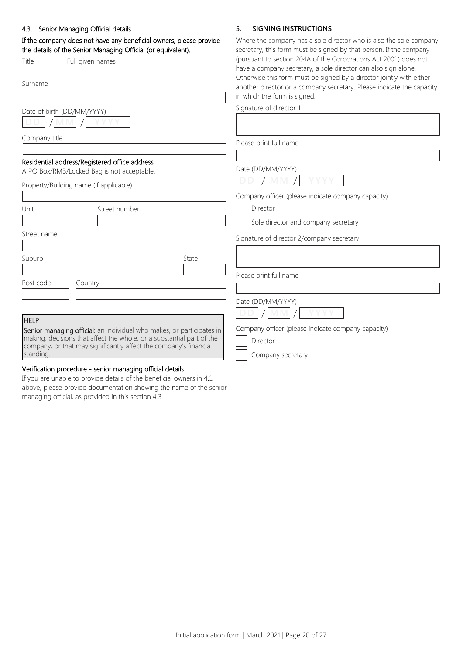#### 4.3. Senior Managing Official details

## If the company does not have any beneficial owners, please provide the details of the Senior Managing Official (or equivalent).

| the details of the Senior Managing Official (or equivalent). |                                                                                                                                                | secretary, this form must be signed by that person. If the company                                                                            |
|--------------------------------------------------------------|------------------------------------------------------------------------------------------------------------------------------------------------|-----------------------------------------------------------------------------------------------------------------------------------------------|
| <b>Title</b>                                                 | Full given names                                                                                                                               | (pursuant to section 204A of the Corporations Act 2001) does not<br>have a company secretary, a sole director can also sign alone.            |
| Surname                                                      |                                                                                                                                                | Otherwise this form must be signed by a director jointly with either<br>another director or a company secretary. Please indicate the capacity |
|                                                              |                                                                                                                                                | in which the form is signed.                                                                                                                  |
|                                                              | Date of birth (DD/MM/YYYY)                                                                                                                     | Signature of director 1                                                                                                                       |
|                                                              |                                                                                                                                                |                                                                                                                                               |
| Company title                                                |                                                                                                                                                | Please print full name                                                                                                                        |
|                                                              |                                                                                                                                                |                                                                                                                                               |
|                                                              | Residential address/Registered office address<br>A PO Box/RMB/Locked Bag is not acceptable.                                                    | Date (DD/MM/YYYY)                                                                                                                             |
|                                                              | Property/Building name (if applicable)                                                                                                         |                                                                                                                                               |
|                                                              |                                                                                                                                                | Company officer (please indicate company capacity)                                                                                            |
| Unit                                                         | Street number                                                                                                                                  | Director                                                                                                                                      |
|                                                              |                                                                                                                                                | Sole director and company secretary                                                                                                           |
| Street name                                                  |                                                                                                                                                | Signature of director 2/company secretary                                                                                                     |
| Suburb                                                       | State                                                                                                                                          |                                                                                                                                               |
|                                                              |                                                                                                                                                | Please print full name                                                                                                                        |
| Post code                                                    | Country                                                                                                                                        |                                                                                                                                               |
|                                                              |                                                                                                                                                | Date (DD/MM/YYYY)                                                                                                                             |
|                                                              |                                                                                                                                                |                                                                                                                                               |
| <b>HELP</b>                                                  |                                                                                                                                                |                                                                                                                                               |
|                                                              | Senior managing official: an individual who makes, or participates in<br>making, decisions that affect the whole, or a substantial part of the | Company officer (please indicate company capacity)                                                                                            |
|                                                              | company, or that may significantly affect the company's financial                                                                              | Director                                                                                                                                      |
| standing.                                                    |                                                                                                                                                | Company secretary                                                                                                                             |
|                                                              |                                                                                                                                                |                                                                                                                                               |

#### Verification procedure - senior managing official details

If you are unable to provide details of the beneficial owners in 4.1 above, please provide documentation showing the name of the senior managing official, as provided in this section 4.3.

## **5. SIGNING INSTRUCTIONS**

Where the company has a sole director who is also the sole company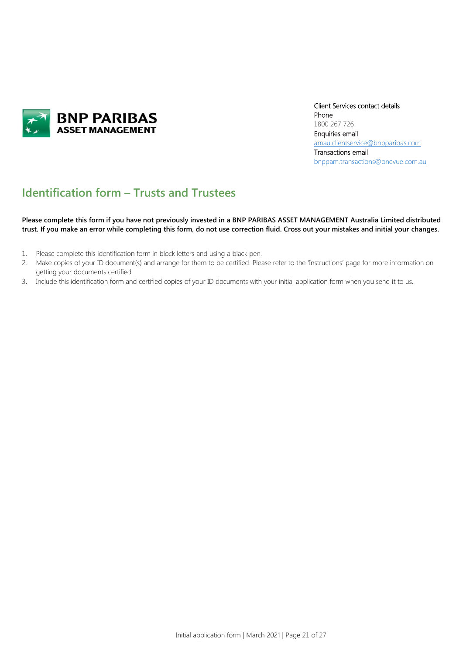

Client Services contact details Phone 1800 267 726 Enquiries email [amau.clientservice@bnpparibas.com](mailto:amau.clientservice@bnpparibas.com) Transactions email [bnppam.transactions@onevue.com.au](mailto:bnppam.transactions@onevue.com.au)

## **Identification form – Trusts and Trustees**

**Please complete this form if you have not previously invested in a BNP PARIBAS ASSET MANAGEMENT Australia Limited distributed trust. If you make an error while completing this form, do not use correction fluid. Cross out your mistakes and initial your changes.**

- 1. Please complete this identification form in block letters and using a black pen.
- 2. Make copies of your ID document(s) and arrange for them to be certified. Please refer to the 'Instructions' page for more information on getting your documents certified.
- 3. Include this identification form and certified copies of your ID documents with your initial application form when you send it to us.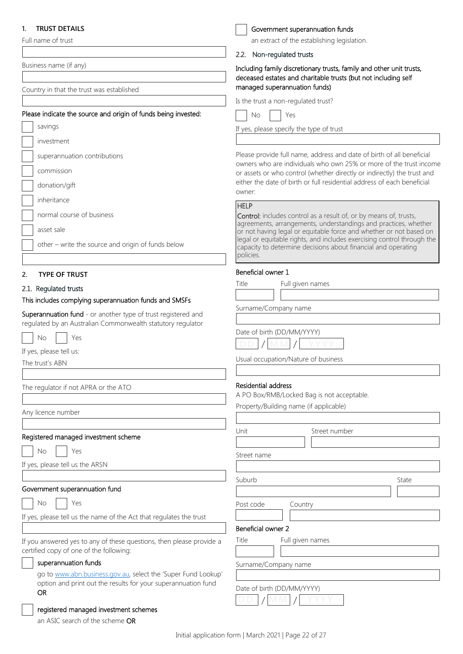## **1. TRUST DETAILS**

Full name of trust

Business name (if any)

Country in that the trust was established

#### Please indicate the source and origin of funds being invested:

|  | savings                                            |
|--|----------------------------------------------------|
|  | investment                                         |
|  | superannuation contributions                       |
|  | commission                                         |
|  | donation/gift                                      |
|  | inheritance                                        |
|  | normal course of business                          |
|  | asset sale                                         |
|  | other – write the source and origin of funds below |
|  |                                                    |

#### **2. TYPE OF TRUST**

#### 2.1. Regulated trusts

#### This includes complying superannuation funds and SMSFs

Superannuation fund - or another type of trust registered and regulated by an Australian Commonwealth statutory regulator

No | Yes

If yes, please tell us:

The trust's ABN

The regulator if not APRA or the ATO

Any licence number

#### Registered managed investment scheme

Yes

If yes, please tell us the ARSN

#### Government superannuation fund

No | Yes

If yes, please tell us the name of the Act that regulates the trust

If you answered yes to any of these questions, then please provide a certified copy of one of the following:

#### superannuation funds

go to [www.abn.business.gov.au,](http://www.abn.business.gov.au/) select the 'Super Fund Lookup' option and print out the results for your superannuation fund OR

#### registered managed investment schemes

an ASIC search of the scheme OR

| Government superannuation funds |
|---------------------------------|
|---------------------------------|

an extract of the establishing legislation.

#### 2.2. Non-regulated trusts

Including family discretionary trusts, family and other unit trusts, deceased estates and charitable trusts (but not including self managed superannuation funds)

Is the trust a non-regulated trust?

No | Yes

If yes, please specify the type of trust

Please provide full name, address and date of birth of all beneficial owners who are individuals who own 25% or more of the trust income or assets or who control (whether directly or indirectly) the trust and either the date of birth or full residential address of each beneficial owner:

#### **HELP**

Control: includes control as a result of, or by means of, trusts, agreements, arrangements, understandings and practices, whether or not having legal or equitable force and whether or not based on legal or equitable rights, and includes exercising control through the capacity to determine decisions about financial and operating policies.

#### Beneficial owner 1

| Title<br>Full given names |  |
|---------------------------|--|
|---------------------------|--|

Surname/Company name

Date of birth (DD/MM/YYYY)



Usual occupation/Nature of business

#### Residential address

A PO Box/RMB/Locked Bag is not acceptable.

Property/Building name (if applicable)

| Unit               |                            | Street number |       |
|--------------------|----------------------------|---------------|-------|
|                    |                            |               |       |
| Street name        |                            |               |       |
|                    |                            |               |       |
| Suburb             |                            |               | State |
|                    |                            |               |       |
| Post code          | Country                    |               |       |
|                    |                            |               |       |
| Beneficial owner 2 |                            |               |       |
| Title              | Full given names           |               |       |
|                    |                            |               |       |
|                    | Surname/Company name       |               |       |
|                    |                            |               |       |
|                    | Date of birth (DD/MM/YYYY) |               |       |
|                    |                            |               |       |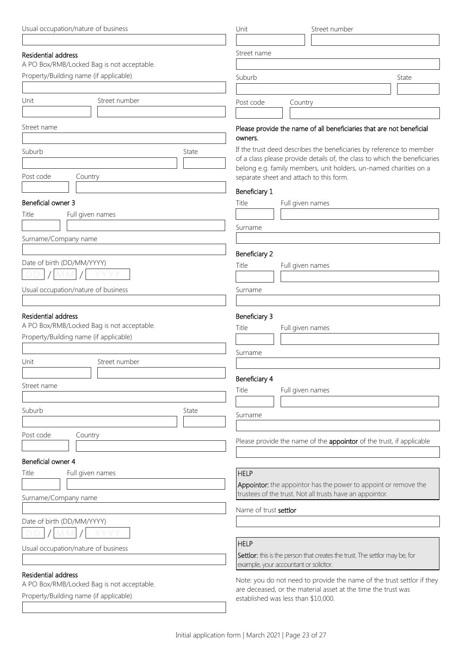| Usual occupation/nature of business                                                  |               | Unit                                                                        | Street number                                                                                                               |  |  |
|--------------------------------------------------------------------------------------|---------------|-----------------------------------------------------------------------------|-----------------------------------------------------------------------------------------------------------------------------|--|--|
|                                                                                      |               |                                                                             |                                                                                                                             |  |  |
| Residential address                                                                  |               | Street name                                                                 |                                                                                                                             |  |  |
| A PO Box/RMB/Locked Bag is not acceptable.                                           |               |                                                                             |                                                                                                                             |  |  |
| Property/Building name (if applicable)                                               |               | Suburb                                                                      | State                                                                                                                       |  |  |
|                                                                                      |               |                                                                             |                                                                                                                             |  |  |
| Unit                                                                                 | Street number | Post code<br>Country                                                        |                                                                                                                             |  |  |
|                                                                                      |               |                                                                             |                                                                                                                             |  |  |
| Street name                                                                          |               |                                                                             | Please provide the name of all beneficiaries that are not beneficial                                                        |  |  |
|                                                                                      |               | owners.                                                                     |                                                                                                                             |  |  |
| Suburb                                                                               | State         |                                                                             | If the trust deed describes the beneficiaries by reference to member                                                        |  |  |
|                                                                                      |               |                                                                             | of a class please provide details of, the class to which the beneficiaries                                                  |  |  |
|                                                                                      |               |                                                                             | belong e.g. family members, unit holders, un-named charities on a                                                           |  |  |
| Post code<br>Country                                                                 |               | separate sheet and attach to this form.                                     |                                                                                                                             |  |  |
|                                                                                      |               | Beneficiary 1                                                               |                                                                                                                             |  |  |
| Beneficial owner 3                                                                   |               | Title<br>Full given names                                                   |                                                                                                                             |  |  |
| Title<br>Full given names                                                            |               |                                                                             |                                                                                                                             |  |  |
|                                                                                      |               | Surname                                                                     |                                                                                                                             |  |  |
| Surname/Company name                                                                 |               |                                                                             |                                                                                                                             |  |  |
|                                                                                      |               | Beneficiary 2                                                               |                                                                                                                             |  |  |
| Date of birth (DD/MM/YYYY)                                                           |               | Title<br>Full given names                                                   |                                                                                                                             |  |  |
|                                                                                      |               |                                                                             |                                                                                                                             |  |  |
| Usual occupation/nature of business                                                  |               | Surname                                                                     |                                                                                                                             |  |  |
|                                                                                      |               |                                                                             |                                                                                                                             |  |  |
|                                                                                      |               |                                                                             |                                                                                                                             |  |  |
| Residential address                                                                  |               | Beneficiary 3                                                               |                                                                                                                             |  |  |
| A PO Box/RMB/Locked Bag is not acceptable.                                           |               | Title<br>Full given names                                                   |                                                                                                                             |  |  |
| Property/Building name (if applicable)                                               |               |                                                                             |                                                                                                                             |  |  |
|                                                                                      |               | Surname                                                                     |                                                                                                                             |  |  |
| Unit                                                                                 | Street number |                                                                             |                                                                                                                             |  |  |
|                                                                                      |               | Beneficiary 4                                                               |                                                                                                                             |  |  |
| Street name                                                                          |               | Title<br>Full given names                                                   |                                                                                                                             |  |  |
|                                                                                      |               |                                                                             |                                                                                                                             |  |  |
| Suburb                                                                               | State         | Surname                                                                     |                                                                                                                             |  |  |
|                                                                                      |               |                                                                             |                                                                                                                             |  |  |
| Post code<br>Country                                                                 |               |                                                                             |                                                                                                                             |  |  |
|                                                                                      |               |                                                                             | Please provide the name of the appointor of the trust, if applicable                                                        |  |  |
| Beneficial owner 4                                                                   |               |                                                                             |                                                                                                                             |  |  |
| Title<br>Full given names                                                            |               | <b>HELP</b>                                                                 |                                                                                                                             |  |  |
|                                                                                      |               |                                                                             |                                                                                                                             |  |  |
|                                                                                      |               |                                                                             | Appointor: the appointor has the power to appoint or remove the<br>trustees of the trust. Not all trusts have an appointor. |  |  |
| Surname/Company name                                                                 |               |                                                                             |                                                                                                                             |  |  |
|                                                                                      |               | Name of trust settlor                                                       |                                                                                                                             |  |  |
| Date of birth (DD/MM/YYYY)                                                           |               |                                                                             |                                                                                                                             |  |  |
|                                                                                      |               |                                                                             |                                                                                                                             |  |  |
| Usual occupation/nature of business                                                  |               |                                                                             | <b>HELP</b>                                                                                                                 |  |  |
|                                                                                      |               | Settlor: this is the person that creates the trust. The settlor may be, for |                                                                                                                             |  |  |
|                                                                                      |               | example, your accountant or solicitor.                                      |                                                                                                                             |  |  |
| Residential address                                                                  |               |                                                                             | Note: you do not need to provide the name of the trust settlor if they                                                      |  |  |
| A PO Box/RMB/Locked Bag is not acceptable.<br>Property/Building name (if applicable) |               | are deceased, or the material asset at the time the trust was               |                                                                                                                             |  |  |
|                                                                                      |               | established was less than \$10,000.                                         |                                                                                                                             |  |  |
|                                                                                      |               |                                                                             |                                                                                                                             |  |  |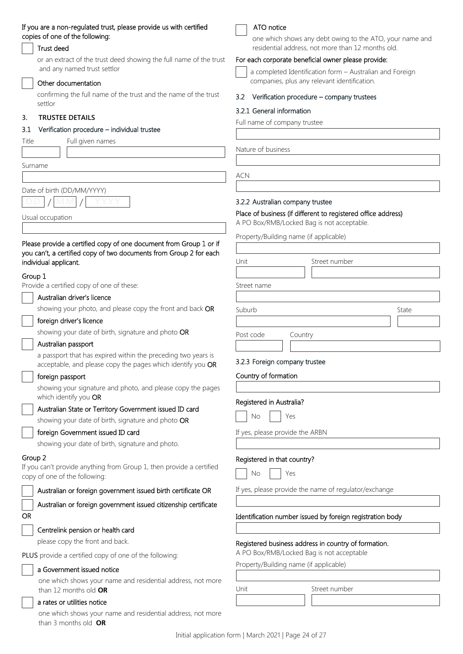#### If you are a non-regulated trust, please provide us with certified copies of one of the following:

## Trust deed

or an extract of the trust deed showing the full name of the trust and any named trust settlor

### Other documentation

confirming the full name of the trust and the name of the trust settlor

### **3. TRUSTEE DETAILS**

#### 3.1 Verification procedure – individual trustee

Title Full given names

Surname

## Date of birth (DD/MM/YYYY)

**DD MM YYYY** / /

Usual occupation

### Please provide a certified copy of one document from Group 1 or if you can't, a certified copy of two documents from Group 2 for each individual applicant.

### Group 1

Provide a certified copy of one of these:

Australian driver's licence

## showing your photo, and please copy the front and back OR

#### foreign driver's licence

showing your date of birth, signature and photo OR

#### Australian passport

a passport that has expired within the preceding two years is acceptable, and please copy the pages which identify you OR

#### foreign passport

showing your signature and photo, and please copy the pages which identify you OR

## Australian State or Territory Government issued ID card

showing your date of birth, signature and photo OR

## foreign Government issued ID card

showing your date of birth, signature and photo.

### Group 2

If you can't provide anything from Group 1, then provide a certified copy of one of the following:

## Australian or foreign government issued birth certificate OR

Australian or foreign government issued citizenship certificate

## OR

Centrelink pension or health card

please copy the front and back.

PLUS provide a certified copy of one of the following:

## a Government issued notice

one which shows your name and residential address, not more than 12 months old **OR**

## a rates or utilities notice

one which shows your name and residential address, not more than 3 months old **OR**



### one which shows any debt owing to the ATO, your name and residential address, not more than 12 months old.

## For each corporate beneficial owner please provide:

a completed Identification form – Australian and Foreign companies, plus any relevant identification.

#### 3.2 Verification procedure – company trustees

#### 3.2.1 General information

Full name of company trustee

Nature of business

ACN

#### 3.2.2 Australian company trustee

#### Place of business (if different to registered office address)

A PO Box/RMB/Locked Bag is not acceptable.

Property/Building name (if applicable)

| Unit        | Street number |       |
|-------------|---------------|-------|
| Street name |               |       |
| Suburb      |               | State |
| Post code   | Country       |       |

### 3.2.3 Foreign company trustee

Country of formation

#### Registered in Australia?

If yes, please provide the ARBN

#### Registered in that country?

| Nη |  | Υρς |
|----|--|-----|
|----|--|-----|

If yes, please provide the name of regulator/exchange

## Identification number issued by foreign registration body

## Registered business address in country of formation.

A PO Box/RMB/Locked Bag is not acceptable

Property/Building name (if applicable)

Unit Street number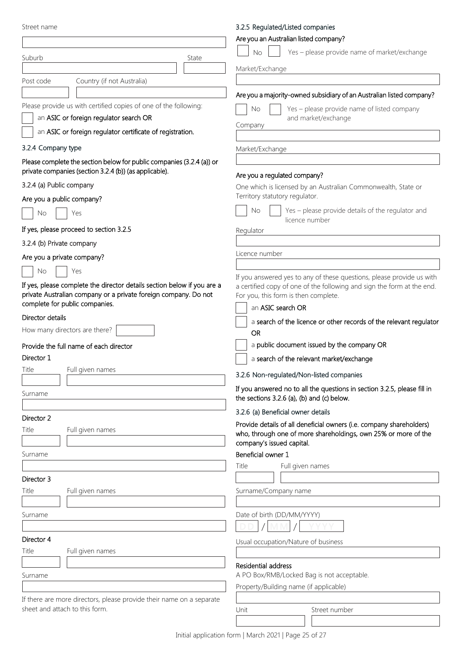## 3.2.5 Regulated/Listed companies

| Street name                                                                                                                                | 3.2.5 Regulated/Listed companies                                                                                       |
|--------------------------------------------------------------------------------------------------------------------------------------------|------------------------------------------------------------------------------------------------------------------------|
|                                                                                                                                            | Are you an Australian listed company?                                                                                  |
| Suburb<br>State                                                                                                                            | Yes - please provide name of market/exchange<br>No                                                                     |
|                                                                                                                                            | Market/Exchange                                                                                                        |
| Post code<br>Country (if not Australia)                                                                                                    |                                                                                                                        |
|                                                                                                                                            | Are you a majority-owned subsidiary of an Australian listed company?                                                   |
| Please provide us with certified copies of one of the following:                                                                           | Yes - please provide name of listed company<br>No                                                                      |
| an ASIC or foreign regulator search OR                                                                                                     | and market/exchange                                                                                                    |
| an ASIC or foreign regulator certificate of registration.                                                                                  | Company                                                                                                                |
| 3.2.4 Company type                                                                                                                         | Market/Exchange                                                                                                        |
| Please complete the section below for public companies (3.2.4 (a)) or                                                                      |                                                                                                                        |
| private companies (section 3.2.4 (b)) (as applicable).                                                                                     | Are you a regulated company?                                                                                           |
| 3.2.4 (a) Public company                                                                                                                   | One which is licensed by an Australian Commonwealth, State or                                                          |
| Are you a public company?                                                                                                                  | Territory statutory regulator.                                                                                         |
| No<br>Yes                                                                                                                                  | No<br>Yes - please provide details of the regulator and                                                                |
| If yes, please proceed to section 3.2.5                                                                                                    | licence number<br>Regulator                                                                                            |
| 3.2.4 (b) Private company                                                                                                                  |                                                                                                                        |
|                                                                                                                                            | Licence number                                                                                                         |
| Are you a private company?                                                                                                                 |                                                                                                                        |
| Yes<br>No                                                                                                                                  | If you answered yes to any of these questions, please provide us with                                                  |
| If yes, please complete the director details section below if you are a<br>private Australian company or a private foreign company. Do not | a certified copy of one of the following and sign the form at the end.                                                 |
| complete for public companies.                                                                                                             | For you, this form is then complete.<br>an ASIC search OR                                                              |
| Director details                                                                                                                           |                                                                                                                        |
| How many directors are there?                                                                                                              | a search of the licence or other records of the relevant regulator<br><b>OR</b>                                        |
| Provide the full name of each director                                                                                                     | a public document issued by the company OR                                                                             |
| Director 1                                                                                                                                 | a search of the relevant market/exchange                                                                               |
| Title<br>Full given names                                                                                                                  |                                                                                                                        |
|                                                                                                                                            | 3.2.6 Non-regulated/Non-listed companies                                                                               |
| Surname                                                                                                                                    | If you answered no to all the questions in section 3.2.5, please fill in<br>the sections 3.2.6 (a), (b) and (c) below. |
|                                                                                                                                            | 3.2.6 (a) Beneficial owner details                                                                                     |
| Director 2                                                                                                                                 | Provide details of all deneficial owners (i.e. company shareholders)                                                   |
| Title<br>Full given names                                                                                                                  | who, through one of more shareholdings, own 25% or more of the                                                         |
|                                                                                                                                            | company's issued capital.                                                                                              |
| Surname                                                                                                                                    | Beneficial owner 1                                                                                                     |
|                                                                                                                                            | Title<br>Full given names                                                                                              |
| Director 3<br>Title                                                                                                                        |                                                                                                                        |
| Full given names                                                                                                                           | Surname/Company name                                                                                                   |
| Surname                                                                                                                                    | Date of birth (DD/MM/YYYY)                                                                                             |
|                                                                                                                                            |                                                                                                                        |
| Director 4                                                                                                                                 | Usual occupation/Nature of business                                                                                    |
| Title<br>Full given names                                                                                                                  |                                                                                                                        |
|                                                                                                                                            | Residential address                                                                                                    |
| Surname                                                                                                                                    | A PO Box/RMB/Locked Bag is not acceptable.                                                                             |
|                                                                                                                                            | Property/Building name (if applicable)                                                                                 |
| If there are more directors, please provide their name on a separate                                                                       |                                                                                                                        |
| sheet and attach to this form.                                                                                                             | Unit<br>Street number                                                                                                  |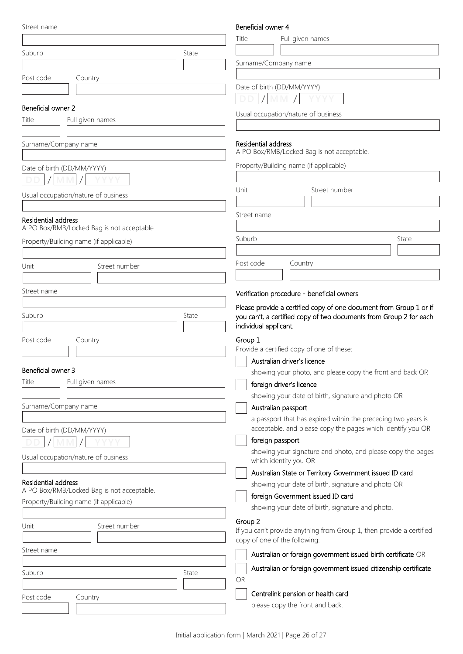| Street name |  |
|-------------|--|
|-------------|--|

### Beneficial owner 4

| JU CC LIGHTC                                                      |       | ר וסוועט וואטוסט<br>Title<br>Full given names                                   |       |
|-------------------------------------------------------------------|-------|---------------------------------------------------------------------------------|-------|
|                                                                   |       |                                                                                 |       |
| Suburb                                                            | State | Surname/Company name                                                            |       |
|                                                                   |       |                                                                                 |       |
| Post code<br>Country                                              |       | Date of birth (DD/MM/YYYY)                                                      |       |
|                                                                   |       | <b>MM</b>                                                                       |       |
| Beneficial owner 2                                                |       | Usual occupation/nature of business                                             |       |
| Title<br>Full given names                                         |       |                                                                                 |       |
|                                                                   |       |                                                                                 |       |
| Surname/Company name                                              |       | Residential address<br>A PO Box/RMB/Locked Bag is not acceptable.               |       |
| Date of birth (DD/MM/YYYY)                                        |       | Property/Building name (if applicable)                                          |       |
|                                                                   |       |                                                                                 |       |
|                                                                   |       | Unit<br>Street number                                                           |       |
| Usual occupation/nature of business                               |       |                                                                                 |       |
|                                                                   |       | Street name                                                                     |       |
| Residential address<br>A PO Box/RMB/Locked Bag is not acceptable. |       |                                                                                 |       |
| Property/Building name (if applicable)                            |       | Suburb                                                                          | State |
|                                                                   |       |                                                                                 |       |
| Unit<br>Street number                                             |       | Post code<br>Country                                                            |       |
|                                                                   |       |                                                                                 |       |
| Street name                                                       |       | Verification procedure - beneficial owners                                      |       |
|                                                                   |       | Please provide a certified copy of one document from Group 1 or if              |       |
| Suburb                                                            | State | you can't, a certified copy of two documents from Group 2 for each              |       |
|                                                                   |       | individual applicant.                                                           |       |
| Post code<br>Country                                              |       | Group 1<br>Provide a certified copy of one of these:                            |       |
|                                                                   |       | Australian driver's licence                                                     |       |
| Beneficial owner 3                                                |       | showing your photo, and please copy the front and back OR                       |       |
| Title<br>Full given names                                         |       | foreign driver's licence                                                        |       |
|                                                                   |       | showing your date of birth, signature and photo OR                              |       |
| Surname/Company name                                              |       | Australian passport                                                             |       |
|                                                                   |       | a passport that has expired within the preceding two years is                   |       |
| Date of birth (DD/MM/YYYY)                                        |       | acceptable, and please copy the pages which identify you OR<br>foreign passport |       |
|                                                                   |       | showing your signature and photo, and please copy the pages                     |       |
| Usual occupation/nature of business                               |       | which identify you OR                                                           |       |
|                                                                   |       | Australian State or Territory Government issued ID card                         |       |
| Residential address<br>A PO Box/RMB/Locked Bag is not acceptable. |       | showing your date of birth, signature and photo OR                              |       |
| Property/Building name (if applicable)                            |       | foreign Government issued ID card                                               |       |
|                                                                   |       | showing your date of birth, signature and photo.                                |       |
| Street number<br>Unit                                             |       | Group 2<br>If you can't provide anything from Group 1, then provide a certified |       |
|                                                                   |       | copy of one of the following:                                                   |       |
| Street name                                                       |       | Australian or foreign government issued birth certificate OR                    |       |
|                                                                   |       | Australian or foreign government issued citizenship certificate                 |       |
| Suburb                                                            | State | OR                                                                              |       |
|                                                                   |       | Centrelink pension or health card                                               |       |
| Post code<br>Country                                              |       | please copy the front and back.                                                 |       |
|                                                                   |       |                                                                                 |       |